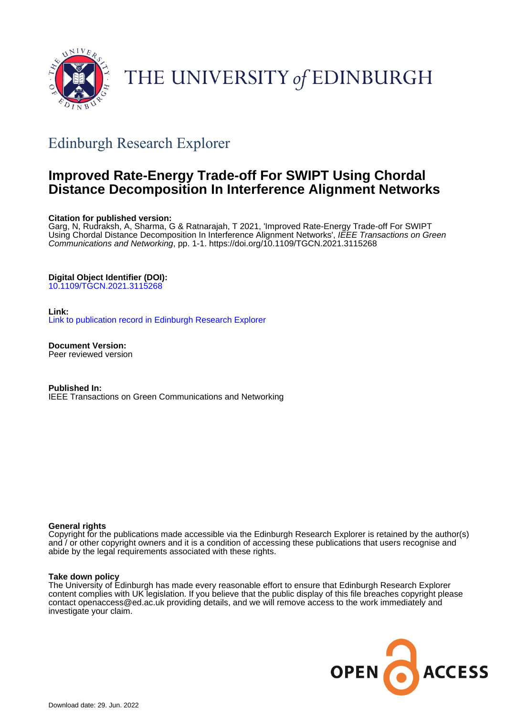

## THE UNIVERSITY of EDINBURGH

## Edinburgh Research Explorer

### **Improved Rate-Energy Trade-off For SWIPT Using Chordal Distance Decomposition In Interference Alignment Networks**

#### **Citation for published version:**

Garg, N, Rudraksh, A, Sharma, G & Ratnarajah, T 2021, 'Improved Rate-Energy Trade-off For SWIPT Using Chordal Distance Decomposition In Interference Alignment Networks', IEEE Transactions on Green Communications and Networking, pp. 1-1. <https://doi.org/10.1109/TGCN.2021.3115268>

#### **Digital Object Identifier (DOI):**

[10.1109/TGCN.2021.3115268](https://doi.org/10.1109/TGCN.2021.3115268)

#### **Link:**

[Link to publication record in Edinburgh Research Explorer](https://www.research.ed.ac.uk/en/publications/2c281888-b413-4fc5-b0de-305471ca9b73)

**Document Version:** Peer reviewed version

**Published In:** IEEE Transactions on Green Communications and Networking

#### **General rights**

Copyright for the publications made accessible via the Edinburgh Research Explorer is retained by the author(s) and / or other copyright owners and it is a condition of accessing these publications that users recognise and abide by the legal requirements associated with these rights.

#### **Take down policy**

The University of Edinburgh has made every reasonable effort to ensure that Edinburgh Research Explorer content complies with UK legislation. If you believe that the public display of this file breaches copyright please contact openaccess@ed.ac.uk providing details, and we will remove access to the work immediately and investigate your claim.

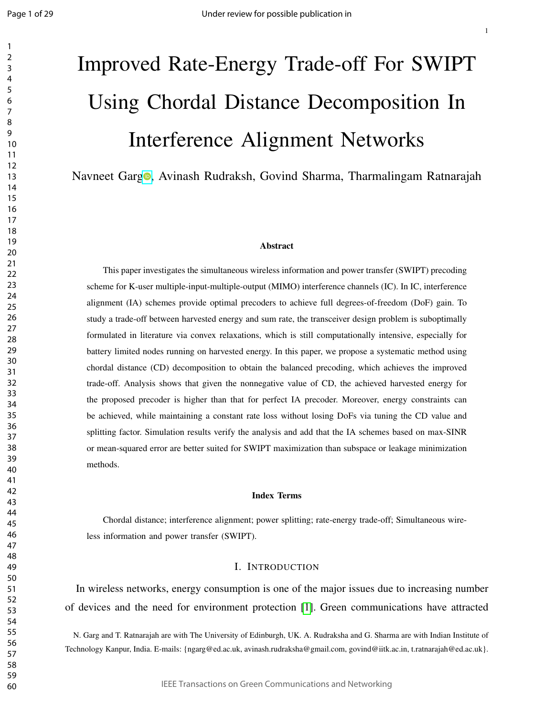# Improved Rate-Energy Trade-off For SWIPT Using Chordal Distance Decomposition In Interference Alignment Networks

Navneet Gar[g](https://orcid.org/0000-0001-8535-7663)**o**, Avinash Rudraksh, Govind Sharma, Tharmalingam Ratnarajah

#### Abstract

This paper investigates the simultaneous wireless information and power transfer (SWIPT) precoding scheme for K-user multiple-input-multiple-output (MIMO) interference channels (IC). In IC, interference alignment (IA) schemes provide optimal precoders to achieve full degrees-of-freedom (DoF) gain. To study a trade-off between harvested energy and sum rate, the transceiver design problem is suboptimally formulated in literature via convex relaxations, which is still computationally intensive, especially for battery limited nodes running on harvested energy. In this paper, we propose a systematic method using chordal distance (CD) decomposition to obtain the balanced precoding, which achieves the improved trade-off. Analysis shows that given the nonnegative value of CD, the achieved harvested energy for the proposed precoder is higher than that for perfect IA precoder. Moreover, energy constraints can be achieved, while maintaining a constant rate loss without losing DoFs via tuning the CD value and splitting factor. Simulation results verify the analysis and add that the IA schemes based on max-SINR or mean-squared error are better suited for SWIPT maximization than subspace or leakage minimization methods.

#### Index Terms

Chordal distance; interference alignment; power splitting; rate-energy trade-off; Simultaneous wireless information and power transfer (SWIPT).

#### I. INTRODUCTION

In wireless networks, energy consumption is one of the major issues due to increasing number of devices and the need for environment protection [1]. Green communications have attracted

N. Garg and T. Ratnarajah are with The University of Edinburgh, UK. A. Rudraksha and G. Sharma are with Indian Institute of Technology Kanpur, India. E-mails: {ngarg@ed.ac.uk, avinash.rudraksha@gmail.com, govind@iitk.ac.in, t.ratnarajah@ed.ac.uk}.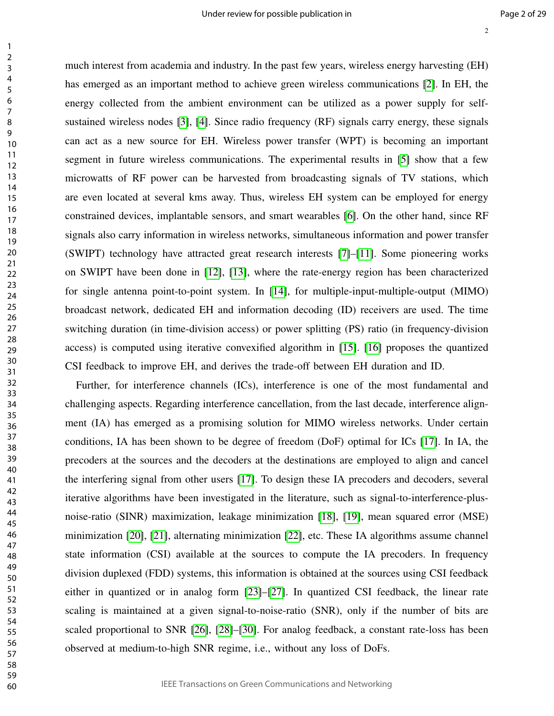much interest from academia and industry. In the past few years, wireless energy harvesting (EH) has emerged as an important method to achieve green wireless communications [2]. In EH, the energy collected from the ambient environment can be utilized as a power supply for selfsustained wireless nodes [3], [4]. Since radio frequency (RF) signals carry energy, these signals can act as a new source for EH. Wireless power transfer (WPT) is becoming an important segment in future wireless communications. The experimental results in [5] show that a few microwatts of RF power can be harvested from broadcasting signals of TV stations, which are even located at several kms away. Thus, wireless EH system can be employed for energy constrained devices, implantable sensors, and smart wearables [6]. On the other hand, since RF signals also carry information in wireless networks, simultaneous information and power transfer (SWIPT) technology have attracted great research interests [7]–[11]. Some pioneering works on SWIPT have been done in [12], [13], where the rate-energy region has been characterized for single antenna point-to-point system. In [14], for multiple-input-multiple-output (MIMO) broadcast network, dedicated EH and information decoding (ID) receivers are used. The time switching duration (in time-division access) or power splitting (PS) ratio (in frequency-division access) is computed using iterative convexified algorithm in [15]. [16] proposes the quantized CSI feedback to improve EH, and derives the trade-off between EH duration and ID.

Further, for interference channels (ICs), interference is one of the most fundamental and challenging aspects. Regarding interference cancellation, from the last decade, interference alignment (IA) has emerged as a promising solution for MIMO wireless networks. Under certain conditions, IA has been shown to be degree of freedom (DoF) optimal for ICs [17]. In IA, the precoders at the sources and the decoders at the destinations are employed to align and cancel the interfering signal from other users [17]. To design these IA precoders and decoders, several iterative algorithms have been investigated in the literature, such as signal-to-interference-plusnoise-ratio (SINR) maximization, leakage minimization [18], [19], mean squared error (MSE) minimization [20], [21], alternating minimization [22], etc. These IA algorithms assume channel state information (CSI) available at the sources to compute the IA precoders. In frequency division duplexed (FDD) systems, this information is obtained at the sources using CSI feedback either in quantized or in analog form [23]–[27]. In quantized CSI feedback, the linear rate scaling is maintained at a given signal-to-noise-ratio (SNR), only if the number of bits are scaled proportional to SNR [26], [28]–[30]. For analog feedback, a constant rate-loss has been observed at medium-to-high SNR regime, i.e., without any loss of DoFs.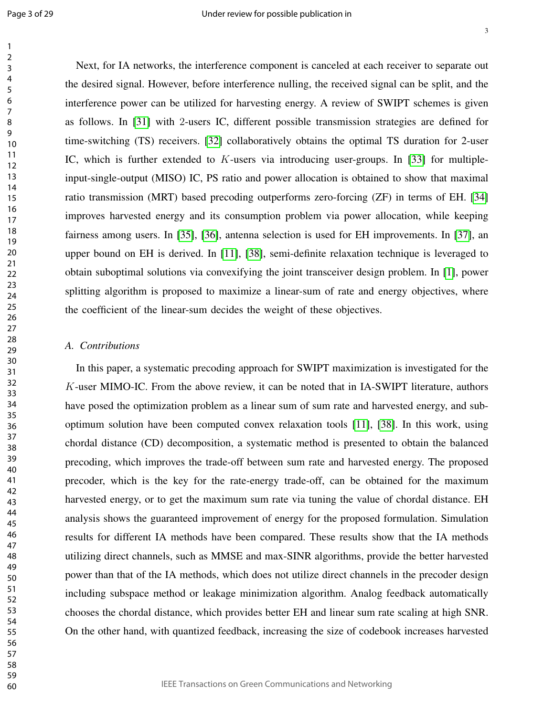Next, for IA networks, the interference component is canceled at each receiver to separate out the desired signal. However, before interference nulling, the received signal can be split, and the interference power can be utilized for harvesting energy. A review of SWIPT schemes is given as follows. In [31] with 2-users IC, different possible transmission strategies are defined for time-switching (TS) receivers. [32] collaboratively obtains the optimal TS duration for 2-user IC, which is further extended to  $K$ -users via introducing user-groups. In [33] for multipleinput-single-output (MISO) IC, PS ratio and power allocation is obtained to show that maximal ratio transmission (MRT) based precoding outperforms zero-forcing (ZF) in terms of EH. [34] improves harvested energy and its consumption problem via power allocation, while keeping fairness among users. In [35], [36], antenna selection is used for EH improvements. In [37], an upper bound on EH is derived. In [11], [38], semi-definite relaxation technique is leveraged to obtain suboptimal solutions via convexifying the joint transceiver design problem. In [1], power splitting algorithm is proposed to maximize a linear-sum of rate and energy objectives, where the coefficient of the linear-sum decides the weight of these objectives.

#### *A. Contributions*

In this paper, a systematic precoding approach for SWIPT maximization is investigated for the K-user MIMO-IC. From the above review, it can be noted that in IA-SWIPT literature, authors have posed the optimization problem as a linear sum of sum rate and harvested energy, and suboptimum solution have been computed convex relaxation tools [11], [38]. In this work, using chordal distance (CD) decomposition, a systematic method is presented to obtain the balanced precoding, which improves the trade-off between sum rate and harvested energy. The proposed precoder, which is the key for the rate-energy trade-off, can be obtained for the maximum harvested energy, or to get the maximum sum rate via tuning the value of chordal distance. EH analysis shows the guaranteed improvement of energy for the proposed formulation. Simulation results for different IA methods have been compared. These results show that the IA methods utilizing direct channels, such as MMSE and max-SINR algorithms, provide the better harvested power than that of the IA methods, which does not utilize direct channels in the precoder design including subspace method or leakage minimization algorithm. Analog feedback automatically chooses the chordal distance, which provides better EH and linear sum rate scaling at high SNR. On the other hand, with quantized feedback, increasing the size of codebook increases harvested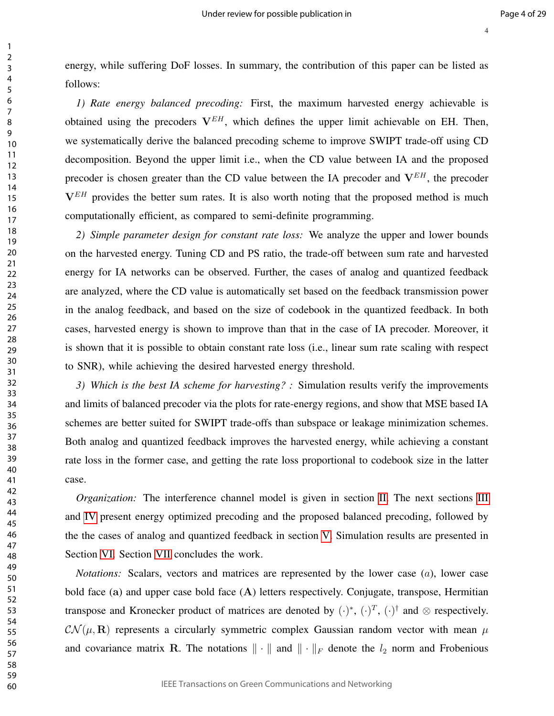energy, while suffering DoF losses. In summary, the contribution of this paper can be listed as follows:

*1) Rate energy balanced precoding:* First, the maximum harvested energy achievable is obtained using the precoders  $V^{EH}$ , which defines the upper limit achievable on EH. Then, we systematically derive the balanced precoding scheme to improve SWIPT trade-off using CD decomposition. Beyond the upper limit i.e., when the CD value between IA and the proposed precoder is chosen greater than the CD value between the IA precoder and  $V^{EH}$ , the precoder  $V^{EH}$  provides the better sum rates. It is also worth noting that the proposed method is much computationally efficient, as compared to semi-definite programming.

*2) Simple parameter design for constant rate loss:* We analyze the upper and lower bounds on the harvested energy. Tuning CD and PS ratio, the trade-off between sum rate and harvested energy for IA networks can be observed. Further, the cases of analog and quantized feedback are analyzed, where the CD value is automatically set based on the feedback transmission power in the analog feedback, and based on the size of codebook in the quantized feedback. In both cases, harvested energy is shown to improve than that in the case of IA precoder. Moreover, it is shown that it is possible to obtain constant rate loss (i.e., linear sum rate scaling with respect to SNR), while achieving the desired harvested energy threshold.

*3) Which is the best IA scheme for harvesting? :* Simulation results verify the improvements and limits of balanced precoder via the plots for rate-energy regions, and show that MSE based IA schemes are better suited for SWIPT trade-offs than subspace or leakage minimization schemes. Both analog and quantized feedback improves the harvested energy, while achieving a constant rate loss in the former case, and getting the rate loss proportional to codebook size in the latter case.

*Organization:* The interference channel model is given in section II. The next sections III and IV present energy optimized precoding and the proposed balanced precoding, followed by the the cases of analog and quantized feedback in section V. Simulation results are presented in Section VI. Section VII concludes the work.

*Notations:* Scalars, vectors and matrices are represented by the lower case (a), lower case bold face (a) and upper case bold face (A) letters respectively. Conjugate, transpose, Hermitian transpose and Kronecker product of matrices are denoted by  $(\cdot)^*, (\cdot)^T, (\cdot)^{\dagger}$  and  $\otimes$  respectively.  $\mathcal{CN}(\mu, \mathbf{R})$  represents a circularly symmetric complex Gaussian random vector with mean  $\mu$ and covariance matrix R. The notations  $\|\cdot\|$  and  $\|\cdot\|_F$  denote the  $l_2$  norm and Frobenious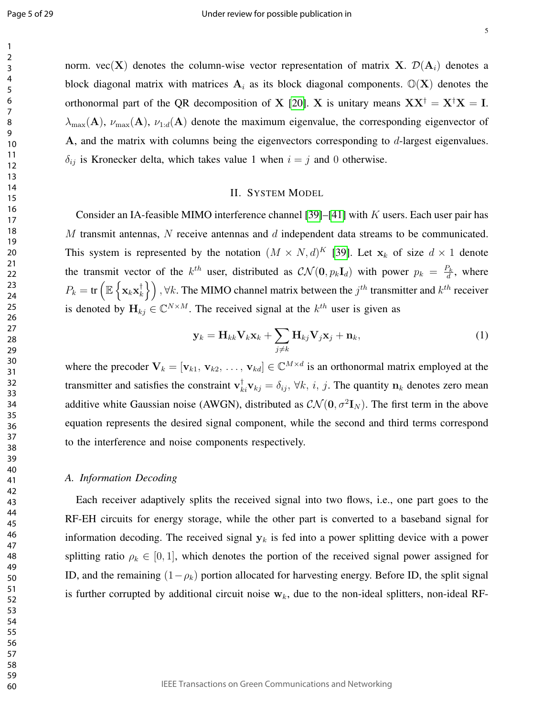norm. vec(X) denotes the column-wise vector representation of matrix X.  $\mathcal{D}(A_i)$  denotes a block diagonal matrix with matrices  $A_i$  as its block diagonal components.  $\mathbb{O}(X)$  denotes the orthonormal part of the QR decomposition of X [20]. X is unitary means  $XX^{\dagger} = X^{\dagger}X = I$ .  $\lambda_{\max}(\mathbf{A}), \nu_{\max}(\mathbf{A}), \nu_{1:d}(\mathbf{A})$  denote the maximum eigenvalue, the corresponding eigenvector of A, and the matrix with columns being the eigenvectors corresponding to d-largest eigenvalues.  $\delta_{ij}$  is Kronecker delta, which takes value 1 when  $i = j$  and 0 otherwise.

#### II. SYSTEM MODEL

Consider an IA-feasible MIMO interference channel [39]–[41] with  $K$  users. Each user pair has  $M$  transmit antennas,  $N$  receive antennas and  $d$  independent data streams to be communicated. This system is represented by the notation  $(M \times N, d)^K$  [39]. Let  $\mathbf{x}_k$  of size  $d \times 1$  denote the transmit vector of the  $k^{th}$  user, distributed as  $\mathcal{CN}(\mathbf{0}, p_k \mathbf{I}_d)$  with power  $p_k = \frac{P_k}{d}$  $\frac{\partial^2 k}{\partial x^2}$ , where  $P_k = \text{tr} \left( \mathbb{E} \left\{ \mathbf{x}_k \mathbf{x}_k^\dagger \right. \right.$  $\begin{pmatrix} \dagger \ k \end{pmatrix}$  ,  $\forall k$ . The MIMO channel matrix between the  $j^{th}$  transmitter and  $k^{th}$  receiver is denoted by  $\mathbf{H}_{kj} \in \mathbb{C}^{N \times M}$ . The received signal at the  $k^{th}$  user is given as

$$
\mathbf{y}_k = \mathbf{H}_{kk} \mathbf{V}_k \mathbf{x}_k + \sum_{j \neq k} \mathbf{H}_{kj} \mathbf{V}_j \mathbf{x}_j + \mathbf{n}_k, \tag{1}
$$

where the precoder  $V_k = [\mathbf{v}_{k1}, \mathbf{v}_{k2}, \dots, \mathbf{v}_{kd}] \in \mathbb{C}^{M \times d}$  is an orthonormal matrix employed at the transmitter and satisfies the constraint  $\mathbf{v}_{ki}^{\dagger} \mathbf{v}_{kj} = \delta_{ij}$ ,  $\forall k, i, j$ . The quantity  $\mathbf{n}_k$  denotes zero mean additive white Gaussian noise (AWGN), distributed as  $\mathcal{CN}(\mathbf{0}, \sigma^2 \mathbf{I}_N)$ . The first term in the above equation represents the desired signal component, while the second and third terms correspond to the interference and noise components respectively.

#### *A. Information Decoding*

Each receiver adaptively splits the received signal into two flows, i.e., one part goes to the RF-EH circuits for energy storage, while the other part is converted to a baseband signal for information decoding. The received signal  $y_k$  is fed into a power splitting device with a power splitting ratio  $\rho_k \in [0, 1]$ , which denotes the portion of the received signal power assigned for ID, and the remaining  $(1-\rho_k)$  portion allocated for harvesting energy. Before ID, the split signal is further corrupted by additional circuit noise  $w_k$ , due to the non-ideal splitters, non-ideal RF-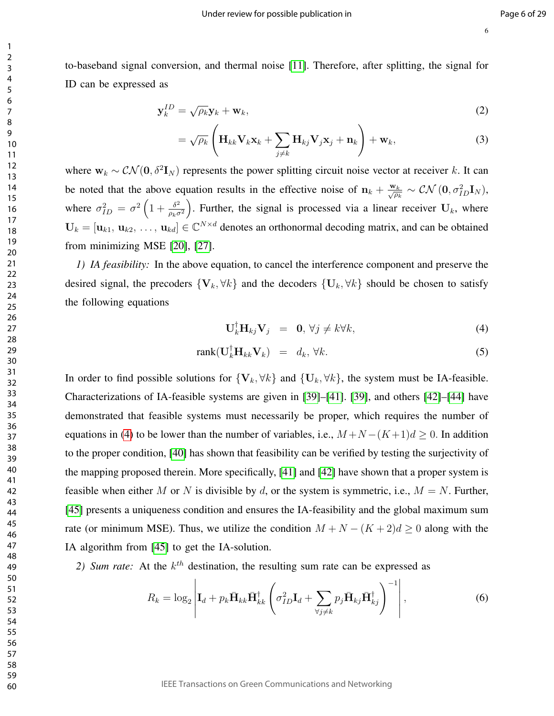to-baseband signal conversion, and thermal noise [11]. Therefore, after splitting, the signal for ID can be expressed as

$$
\mathbf{y}_k^{ID} = \sqrt{\rho_k} \mathbf{y}_k + \mathbf{w}_k, \tag{2}
$$

$$
= \sqrt{\rho_k} \left( \mathbf{H}_{kk} \mathbf{V}_k \mathbf{x}_k + \sum_{j \neq k} \mathbf{H}_{kj} \mathbf{V}_j \mathbf{x}_j + \mathbf{n}_k \right) + \mathbf{w}_k, \tag{3}
$$

where  $w_k \sim \mathcal{CN}(\mathbf{0}, \delta^2 \mathbf{I}_N)$  represents the power splitting circuit noise vector at receiver k. It can be noted that the above equation results in the effective noise of  $\mathbf{n}_k + \frac{\mathbf{w}_k}{\sqrt{\omega}}$  $\frac{\nu_k}{\overline{\rho_k}}\sim \mathcal{CN}\left(\mathbf{0},\sigma_{ID}^2\mathbf{I}_N\right),$ where  $\sigma_{ID}^2 = \sigma^2 \left( 1 + \frac{\delta^2}{\rho_k \sigma^2} \right)$  $\rho_k \sigma^2$ ). Further, the signal is processed via a linear receiver  $U_k$ , where  $U_k = [\mathbf{u}_{k1}, \mathbf{u}_{k2}, \dots, \mathbf{u}_{kd}] \in \mathbb{C}^{N \times d}$  denotes an orthonormal decoding matrix, and can be obtained from minimizing MSE [20], [27].

*1) IA feasibility:* In the above equation, to cancel the interference component and preserve the desired signal, the precoders  ${V_k, \forall k}$  and the decoders  ${U_k, \forall k}$  should be chosen to satisfy the following equations

$$
\mathbf{U}_{k}^{\dagger} \mathbf{H}_{kj} \mathbf{V}_{j} = \mathbf{0}, \forall j \neq k \forall k,
$$
 (4)

$$
rank(\mathbf{U}_{k}^{\dagger} \mathbf{H}_{kk} \mathbf{V}_{k}) = d_{k}, \forall k.
$$
 (5)

In order to find possible solutions for  ${V_k, \forall k}$  and  ${U_k, \forall k}$ , the system must be IA-feasible. Characterizations of IA-feasible systems are given in [39]–[41]. [39], and others [42]–[44] have demonstrated that feasible systems must necessarily be proper, which requires the number of equations in (4) to be lower than the number of variables, i.e.,  $M+N-(K+1)d \geq 0$ . In addition to the proper condition, [40] has shown that feasibility can be verified by testing the surjectivity of the mapping proposed therein. More specifically, [41] and [42] have shown that a proper system is feasible when either M or N is divisible by d, or the system is symmetric, i.e.,  $M = N$ . Further, [45] presents a uniqueness condition and ensures the IA-feasibility and the global maximum sum rate (or minimum MSE). Thus, we utilize the condition  $M + N - (K + 2)d \geq 0$  along with the IA algorithm from [45] to get the IA-solution.

2) Sum rate: At the  $k<sup>th</sup>$  destination, the resulting sum rate can be expressed as

$$
R_k = \log_2 \left| \mathbf{I}_d + p_k \bar{\mathbf{H}}_{kk} \bar{\mathbf{H}}_{kk}^\dagger \left( \sigma_{ID}^2 \mathbf{I}_d + \sum_{\forall j \neq k} p_j \bar{\mathbf{H}}_{kj} \bar{\mathbf{H}}_{kj}^\dagger \right)^{-1} \right|,
$$
(6)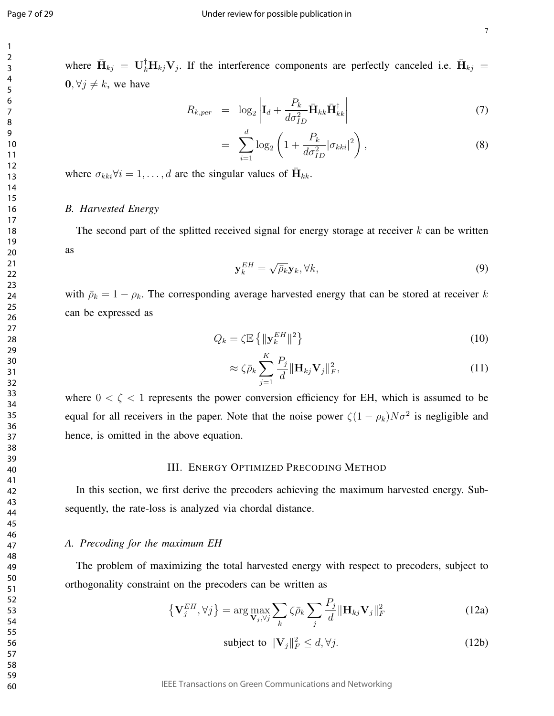where  $\bar{\mathbf{H}}_{kj} = \mathbf{U}_k^{\dagger} \mathbf{H}_{kj} \mathbf{V}_j$ . If the interference components are perfectly canceled i.e.  $\bar{\mathbf{H}}_{kj} =$  $0, \forall j \neq k$ , we have

$$
R_{k,per} = \log_2 \left| \mathbf{I}_d + \frac{P_k}{d\sigma_{ID}^2} \bar{\mathbf{H}}_{kk} \bar{\mathbf{H}}_{kk}^\dagger \right| \tag{7}
$$

$$
= \sum_{i=1}^{d} \log_2 \left( 1 + \frac{P_k}{d\sigma_{ID}^2} |\sigma_{kki}|^2 \right), \tag{8}
$$

where  $\sigma_{kki} \forall i = 1, \dots, d$  are the singular values of  $\bar{H}_{kk}$ .

#### *B. Harvested Energy*

The second part of the splitted received signal for energy storage at receiver  $k$  can be written as

$$
\mathbf{y}_k^{EH} = \sqrt{\bar{\rho}_k} \mathbf{y}_k, \forall k,
$$
\n(9)

with  $\bar{\rho}_k = 1 - \rho_k$ . The corresponding average harvested energy that can be stored at receiver k can be expressed as

$$
Q_k = \zeta \mathbb{E} \left\{ \|\mathbf{y}_k^{EH}\|^2 \right\} \tag{10}
$$

$$
\approx \zeta \bar{\rho}_k \sum_{j=1}^K \frac{P_j}{d} \|\mathbf{H}_{kj} \mathbf{V}_j\|_F^2, \tag{11}
$$

where  $0 < \zeta < 1$  represents the power conversion efficiency for EH, which is assumed to be equal for all receivers in the paper. Note that the noise power  $\zeta(1-\rho_k)N\sigma^2$  is negligible and hence, is omitted in the above equation.

#### III. ENERGY OPTIMIZED PRECODING METHOD

In this section, we first derive the precoders achieving the maximum harvested energy. Subsequently, the rate-loss is analyzed via chordal distance.

#### *A. Precoding for the maximum EH*

The problem of maximizing the total harvested energy with respect to precoders, subject to orthogonality constraint on the precoders can be written as

$$
\left\{ \mathbf{V}_{j}^{EH},\forall j\right\} =\arg\max_{\mathbf{V}_{j},\forall j}\sum_{k}\zeta\bar{\rho}_{k}\sum_{j}\frac{P_{j}}{d}\|\mathbf{H}_{kj}\mathbf{V}_{j}\|_{F}^{2}
$$
(12a)

subject to  $\|\mathbf{V}_j\|_F^2 \le d, \forall j.$  (12b)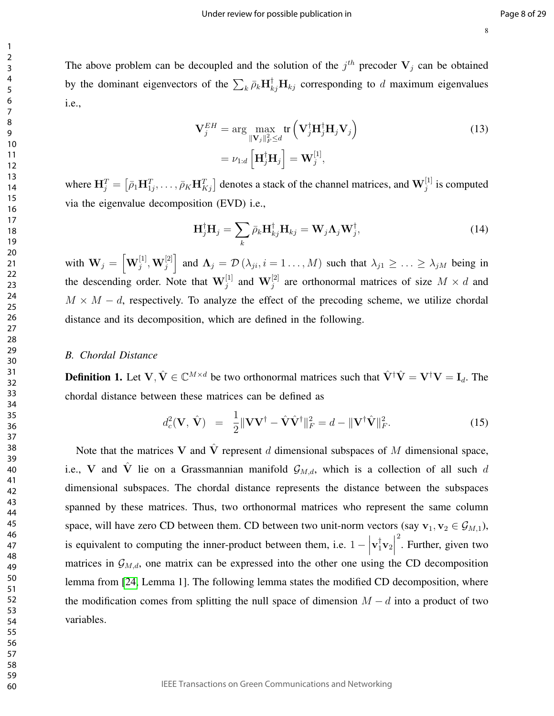The above problem can be decoupled and the solution of the  $j<sup>th</sup>$  precoder  $V_j$  can be obtained by the dominant eigenvectors of the  $\sum_k \bar{\rho}_k \mathbf{H}_{kj}^{\dagger} \mathbf{H}_{kj}$  corresponding to d maximum eigenvalues i.e.,

$$
\mathbf{V}_{j}^{EH} = \arg \max_{\|\mathbf{V}_{j}\|_{F}^{2} \leq d} \text{tr}\left(\mathbf{V}_{j}^{\dagger} \mathbf{H}_{j}^{\dagger} \mathbf{H}_{j} \mathbf{V}_{j}\right)
$$
\n
$$
= \nu_{1:d} \left[\mathbf{H}_{j}^{\dagger} \mathbf{H}_{j}\right] = \mathbf{W}_{j}^{[1]},
$$
\n(13)

where  $\mathbf{H}_{j}^{T} = \left[ \bar{\rho}_1 \mathbf{H}_{1j}^{T}, \ldots, \bar{\rho}_K \mathbf{H}_{Kj}^{T} \right]$  denotes a stack of the channel matrices, and  $\mathbf{W}_{j}^{[1]}$  is computed via the eigenvalue decomposition (EVD) i.e.,

$$
\mathbf{H}_{j}^{\dagger}\mathbf{H}_{j}=\sum_{k}\bar{\rho}_{k}\mathbf{H}_{kj}^{\dagger}\mathbf{H}_{kj}=\mathbf{W}_{j}\Lambda_{j}\mathbf{W}_{j}^{\dagger},\qquad(14)
$$

with  $\mathbf{W}_j = \left[\mathbf{W}_j^{[1]}, \mathbf{W}_j^{[2]}\right]$  and  $\mathbf{\Lambda}_j = \mathcal{D}\left(\lambda_{ji}, i = 1, ..., M\right)$  such that  $\lambda_{j1} \geq ... \geq \lambda_{jM}$  being in the descending order. Note that  $\mathbf{W}_j^{[1]}$  and  $\mathbf{W}_j^{[2]}$  are orthonormal matrices of size  $M \times d$  and  $M \times M - d$ , respectively. To analyze the effect of the precoding scheme, we utilize chordal distance and its decomposition, which are defined in the following.

#### *B. Chordal Distance*

**Definition 1.** Let  $V, \hat{V} \in \mathbb{C}^{M \times d}$  be two orthonormal matrices such that  $\hat{V}^{\dagger} \hat{V} = V^{\dagger} V = I_d$ . The chordal distance between these matrices can be defined as

$$
d_c^2(\mathbf{V}, \hat{\mathbf{V}}) = \frac{1}{2} \|\mathbf{V}\mathbf{V}^{\dagger} - \hat{\mathbf{V}}\hat{\mathbf{V}}^{\dagger}\|_F^2 = d - \|\mathbf{V}^{\dagger}\hat{\mathbf{V}}\|_F^2.
$$
 (15)

Note that the matrices V and  $\hat{V}$  represent d dimensional subspaces of M dimensional space, i.e., V and  $\hat{V}$  lie on a Grassmannian manifold  $\mathcal{G}_{M,d}$ , which is a collection of all such d dimensional subspaces. The chordal distance represents the distance between the subspaces spanned by these matrices. Thus, two orthonormal matrices who represent the same column space, will have zero CD between them. CD between two unit-norm vectors (say  $v_1, v_2 \in \mathcal{G}_{M,1}$ ), is equivalent to computing the inner-product between them, i.e.  $1 - \left| \right|$  $\mathbf{v}_1^{\dagger} \mathbf{v}_2$  $\frac{2}{\pi}$ . Further, given two matrices in  $\mathcal{G}_{M,d}$ , one matrix can be expressed into the other one using the CD decomposition lemma from [24, Lemma 1]. The following lemma states the modified CD decomposition, where the modification comes from splitting the null space of dimension  $M - d$  into a product of two variables.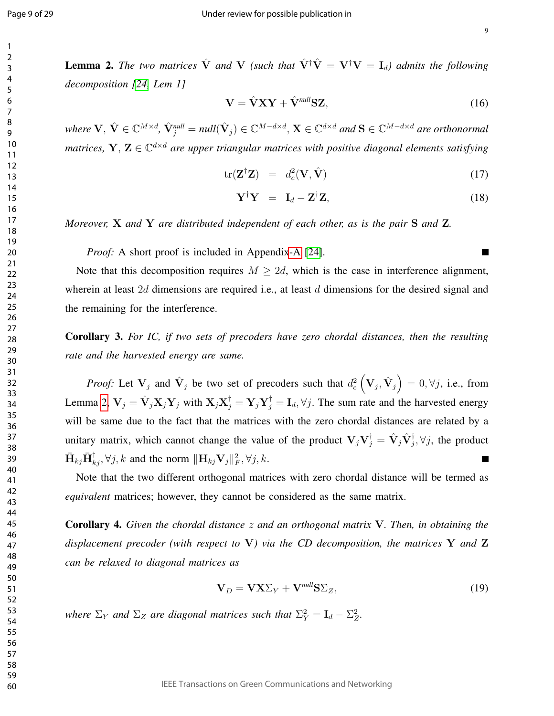ш

**Lemma 2.** The two matrices  $\hat{V}$  and V (such that  $\hat{V}^{\dagger}\hat{V} = V^{\dagger}V = I_d$ ) admits the following *decomposition [24, Lem 1]*

$$
\mathbf{V} = \hat{\mathbf{V}} \mathbf{X} \mathbf{Y} + \hat{\mathbf{V}}^{null} \mathbf{S} \mathbf{Z},\tag{16}
$$

 $where \ V, \ \hat{\mathbf{V}} \in \mathbb{C}^{M \times d}, \ \hat{\mathbf{V}}_j^{null} = null(\hat{\mathbf{V}}_j) \in \mathbb{C}^{M-d \times d}, \mathbf{X} \in \mathbb{C}^{d \times d} \ and \ \mathbf{S} \in \mathbb{C}^{M-d \times d} \ are \ orthonormally \$ *matrices,*  $Y, Z \in \mathbb{C}^{d \times d}$  are upper triangular matrices with positive diagonal elements satisfying

$$
\text{tr}(\mathbf{Z}^{\dagger}\mathbf{Z}) = d_c^2(\mathbf{V}, \hat{\mathbf{V}}) \tag{17}
$$

$$
\mathbf{Y}^{\dagger}\mathbf{Y} = \mathbf{I}_d - \mathbf{Z}^{\dagger}\mathbf{Z},\tag{18}
$$

*Moreover,* X *and* Y *are distributed independent of each other, as is the pair* S *and* Z*.*

*Proof:* A short proof is included in Appendix-A [24].

Note that this decomposition requires  $M \geq 2d$ , which is the case in interference alignment, wherein at least 2d dimensions are required i.e., at least d dimensions for the desired signal and the remaining for the interference.

Corollary 3. *For IC, if two sets of precoders have zero chordal distances, then the resulting rate and the harvested energy are same.*

*Proof:* Let  $V_j$  and  $\hat{V}_j$  be two set of precoders such that  $d_c^2\left(V_j, \hat{V}_j\right) = 0, \forall j$ , i.e., from Lemma 2,  $V_j = \hat{V}_j X_j Y_j$  with  $X_j X_j^{\dagger} = Y_j Y_j^{\dagger} = I_d, \forall j$ . The sum rate and the harvested energy will be same due to the fact that the matrices with the zero chordal distances are related by a unitary matrix, which cannot change the value of the product  $V_jV_j^{\dagger} = \hat{V}_j\hat{V}_j^{\dagger}, \forall j$ , the product  $\bar{\mathbf{H}}_{kj}\bar{\mathbf{H}}_{kj}^{\dagger}, \forall j, k$  and the norm  $\|\mathbf{H}_{kj}\mathbf{V}_j\|_F^2, \forall j, k$ .

Note that the two different orthogonal matrices with zero chordal distance will be termed as *equivalent* matrices; however, they cannot be considered as the same matrix.

Corollary 4. *Given the chordal distance* z *and an orthogonal matrix* V*. Then, in obtaining the displacement precoder (with respect to* V*) via the CD decomposition, the matrices* Y *and* Z *can be relaxed to diagonal matrices as*

$$
\mathbf{V}_D = \mathbf{V} \mathbf{X} \Sigma_Y + \mathbf{V}^{\textit{null}} \mathbf{S} \Sigma_Z, \tag{19}
$$

where  $\Sigma_Y$  and  $\Sigma_Z$  are diagonal matrices such that  $\Sigma_Y^2 = \mathbf{I}_d - \Sigma_Z^2$ .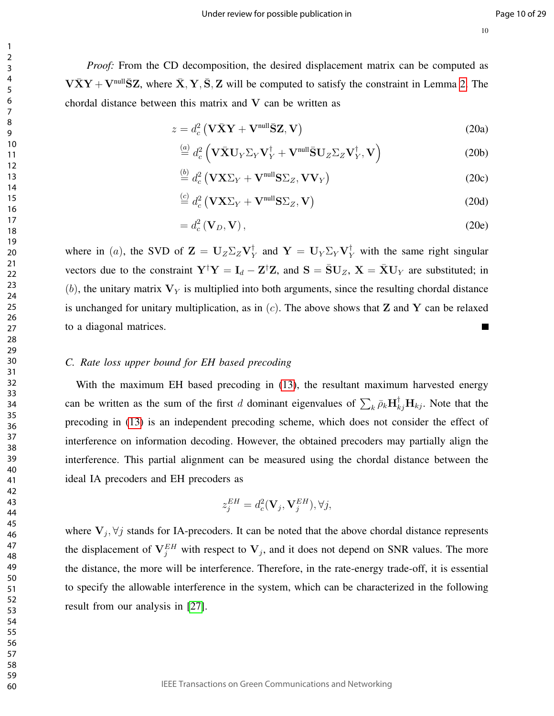*Proof:* From the CD decomposition, the desired displacement matrix can be computed as  $V\bar XY + V^{\text{null}}\bar SZ$ , where  $\bar X, Y, \bar S, Z$  will be computed to satisfy the constraint in Lemma 2. The chordal distance between this matrix and  $V$  can be written as

$$
z = d_c^2 \left( \mathbf{V} \bar{\mathbf{X}} \mathbf{Y} + \mathbf{V}^{\text{null}} \bar{\mathbf{S}} \mathbf{Z}, \mathbf{V} \right)
$$
 (20a)

$$
\stackrel{(a)}{=} d_c^2 \left( \mathbf{V} \bar{\mathbf{X}} \mathbf{U}_Y \Sigma_Y \mathbf{V}_Y^\dagger + \mathbf{V}^{\text{null}} \bar{\mathbf{S}} \mathbf{U}_Z \Sigma_Z \mathbf{V}_Y^\dagger, \mathbf{V} \right) \tag{20b}
$$

$$
\stackrel{\text{(b)}}{=} d_c^2 \left( \mathbf{V} \mathbf{X} \Sigma_Y + \mathbf{V}^{\text{null}} \mathbf{S} \Sigma_Z, \mathbf{V} \mathbf{V}_Y \right) \tag{20c}
$$

$$
\stackrel{(c)}{=} d_c^2 (\mathbf{V} \mathbf{X} \Sigma_Y + \mathbf{V}^{\text{null}} \mathbf{S} \Sigma_Z, \mathbf{V})
$$
\n(20d)

$$
= d_c^2 \left( \mathbf{V}_D, \mathbf{V} \right), \tag{20e}
$$

where in (*a*), the SVD of  $\mathbf{Z} = \mathbf{U}_Z \Sigma_Z \mathbf{V}_Y^{\dagger}$  $_{Y}^{\dagger}$  and  $Y = U_{Y} \Sigma_{Y} V_{Y}^{\dagger}$  with the same right singular vectors due to the constraint  $Y^{\dagger}Y = I_d - Z^{\dagger}Z$ , and  $S = \overline{S}U_Z$ ,  $X = \overline{X}U_Y$  are substituted; in (b), the unitary matrix  $V<sub>Y</sub>$  is multiplied into both arguments, since the resulting chordal distance is unchanged for unitary multiplication, as in  $(c)$ . The above shows that **Z** and **Y** can be relaxed to a diagonal matrices. Г

#### *C. Rate loss upper bound for EH based precoding*

With the maximum EH based precoding in  $(13)$ , the resultant maximum harvested energy can be written as the sum of the first d dominant eigenvalues of  $\sum_k \bar{\rho}_k \mathbf{H}_{kj}^{\dagger} \mathbf{H}_{kj}$ . Note that the precoding in (13) is an independent precoding scheme, which does not consider the effect of interference on information decoding. However, the obtained precoders may partially align the interference. This partial alignment can be measured using the chordal distance between the ideal IA precoders and EH precoders as

$$
z_j^{EH} = d_c^2(\mathbf{V}_j, \mathbf{V}_j^{EH}), \forall j,
$$

where  $V_j$ ,  $\forall j$  stands for IA-precoders. It can be noted that the above chordal distance represents the displacement of  $V_j^{EH}$  with respect to  $V_j$ , and it does not depend on SNR values. The more the distance, the more will be interference. Therefore, in the rate-energy trade-off, it is essential to specify the allowable interference in the system, which can be characterized in the following result from our analysis in [27].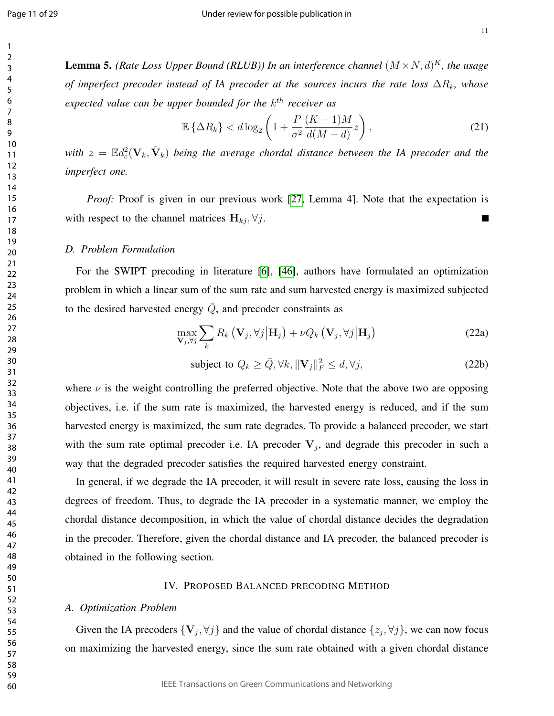**Lemma 5.** (Rate Loss Upper Bound (RLUB)) In an interference channel  $(M \times N, d)^K$ , the usage *of imperfect precoder instead of IA precoder at the sources incurs the rate loss*  $\Delta R_k$ *, whose expected value can be upper bounded for the* k th *receiver as*

$$
\mathbb{E}\left\{\Delta R_k\right\} < d\log_2\left(1 + \frac{P}{\sigma^2}\frac{(K-1)M}{d(M-d)}z\right),\tag{21}
$$

with  $z=\mathbb{E} d_{c}^{2}(\mathbf{V}_k,\hat{\mathbf{V}}_k)$  being the average chordal distance between the IA precoder and the *imperfect one.*

*Proof:* Proof is given in our previous work [27, Lemma 4]. Note that the expectation is with respect to the channel matrices  $H_{kj}$ ,  $\forall j$ .  $\blacksquare$ 

#### *D. Problem Formulation*

For the SWIPT precoding in literature [6], [46], authors have formulated an optimization problem in which a linear sum of the sum rate and sum harvested energy is maximized subjected to the desired harvested energy  $\overline{Q}$ , and precoder constraints as

$$
\max_{\mathbf{V}_{j},\forall j} \sum_{k} R_{k} \left( \mathbf{V}_{j}, \forall j \middle| \mathbf{H}_{j} \right) + \nu Q_{k} \left( \mathbf{V}_{j}, \forall j \middle| \mathbf{H}_{j} \right)
$$
\n(22a)

subject to 
$$
Q_k \ge \bar{Q}, \forall k, ||\mathbf{V}_j||_F^2 \le d, \forall j,
$$
 (22b)

where  $\nu$  is the weight controlling the preferred objective. Note that the above two are opposing objectives, i.e. if the sum rate is maximized, the harvested energy is reduced, and if the sum harvested energy is maximized, the sum rate degrades. To provide a balanced precoder, we start with the sum rate optimal precoder i.e. IA precoder  $V_j$ , and degrade this precoder in such a way that the degraded precoder satisfies the required harvested energy constraint.

In general, if we degrade the IA precoder, it will result in severe rate loss, causing the loss in degrees of freedom. Thus, to degrade the IA precoder in a systematic manner, we employ the chordal distance decomposition, in which the value of chordal distance decides the degradation in the precoder. Therefore, given the chordal distance and IA precoder, the balanced precoder is obtained in the following section.

#### IV. PROPOSED BALANCED PRECODING METHOD

#### *A. Optimization Problem*

Given the IA precoders  $\{V_j, \forall j\}$  and the value of chordal distance  $\{z_j, \forall j\}$ , we can now focus on maximizing the harvested energy, since the sum rate obtained with a given chordal distance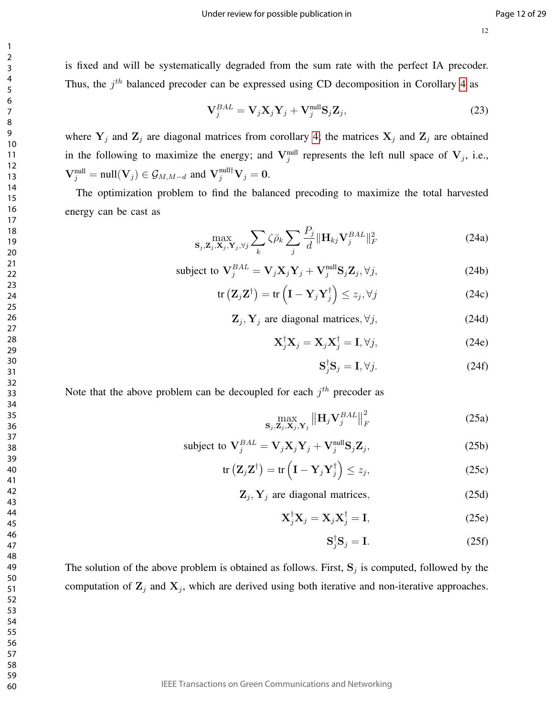is fixed and will be systematically degraded from the sum rate with the perfect IA precoder. Thus, the  $j<sup>th</sup>$  balanced precoder can be expressed using CD decomposition in Corollary 4 as

$$
\mathbf{V}_{j}^{BAL} = \mathbf{V}_{j} \mathbf{X}_{j} \mathbf{Y}_{j} + \mathbf{V}_{j}^{\text{null}} \mathbf{S}_{j} \mathbf{Z}_{j},
$$
\n(23)

where  $Y_j$  and  $Z_j$  are diagonal matrices from corollary 4; the matrices  $X_j$  and  $Z_j$  are obtained in the following to maximize the energy; and  $V_j^{\text{null}}$  represents the left null space of  $V_j$ , i.e.,  $\mathbf{V}_{j}^{\text{null}} = \text{null}(\mathbf{V}_{j}) \in \mathcal{G}_{M,M-d} \text{ and } \mathbf{V}_{j}^{\text{null} \dagger} \mathbf{V}_{j} = \mathbf{0}.$ 

The optimization problem to find the balanced precoding to maximize the total harvested energy can be cast as

$$
\max_{\mathbf{S}_{j},\mathbf{Z}_{j},\mathbf{X}_{j},\mathbf{Y}_{j},\forall j}\sum_{k}\zeta\bar{\rho}_{k}\sum_{j}\frac{P_{j}}{d}\|\mathbf{H}_{kj}\mathbf{V}_{j}^{BAL}\|_{F}^{2}
$$
(24a)

subject to 
$$
\mathbf{V}_{j}^{BAL} = \mathbf{V}_{j} \mathbf{X}_{j} \mathbf{Y}_{j} + \mathbf{V}_{j}^{\text{null}} \mathbf{S}_{j} \mathbf{Z}_{j}, \forall j,
$$
 (24b)

$$
\operatorname{tr}\left(\mathbf{Z}_{j}\mathbf{Z}^{\dagger}\right)=\operatorname{tr}\left(\mathbf{I}-\mathbf{Y}_{j}\mathbf{Y}_{j}^{\dagger}\right)\leq z_{j},\forall j\tag{24c}
$$

 $\mathbf{Z}_j$ ,  $\mathbf{Y}_j$  are diagonal matrices,  $\forall j$ , (24d)

$$
\mathbf{X}_{j}^{\dagger}\mathbf{X}_{j}=\mathbf{X}_{j}\mathbf{X}_{j}^{\dagger}=\mathbf{I},\forall j,
$$
 (24e)

$$
\mathbf{S}_{j}^{\dagger}\mathbf{S}_{j}=\mathbf{I},\forall j.
$$
 (24f)

Note that the above problem can be decoupled for each  $j<sup>th</sup>$  precoder as

$$
\max_{\mathbf{S}_{j},\mathbf{Z}_{j},\mathbf{X}_{j},\mathbf{Y}_{j}}\left\|\mathbf{H}_{j}\mathbf{V}_{j}^{BAL}\right\|_{F}^{2}
$$
 (25a)

subject to 
$$
\mathbf{V}_{j}^{BAL} = \mathbf{V}_{j} \mathbf{X}_{j} \mathbf{Y}_{j} + \mathbf{V}_{j}^{\text{null}} \mathbf{S}_{j} \mathbf{Z}_{j},
$$
 (25b)

$$
\operatorname{tr}\left(\mathbf{Z}_{j}\mathbf{Z}^{\dagger}\right)=\operatorname{tr}\left(\mathbf{I}-\mathbf{Y}_{j}\mathbf{Y}_{j}^{\dagger}\right)\leq z_{j},\tag{25c}
$$

 $\mathbf{Z}_j$ ,  $\mathbf{Y}_j$  are diagonal matrices, (25d)

$$
\mathbf{X}_{j}^{\dagger}\mathbf{X}_{j} = \mathbf{X}_{j}\mathbf{X}_{j}^{\dagger} = \mathbf{I},\tag{25e}
$$

$$
\mathbf{S}_{j}^{\dagger}\mathbf{S}_{j}=\mathbf{I}.\tag{25f}
$$

The solution of the above problem is obtained as follows. First,  $S_j$  is computed, followed by the computation of  $\mathbf{Z}_j$  and  $\mathbf{X}_j$ , which are derived using both iterative and non-iterative approaches.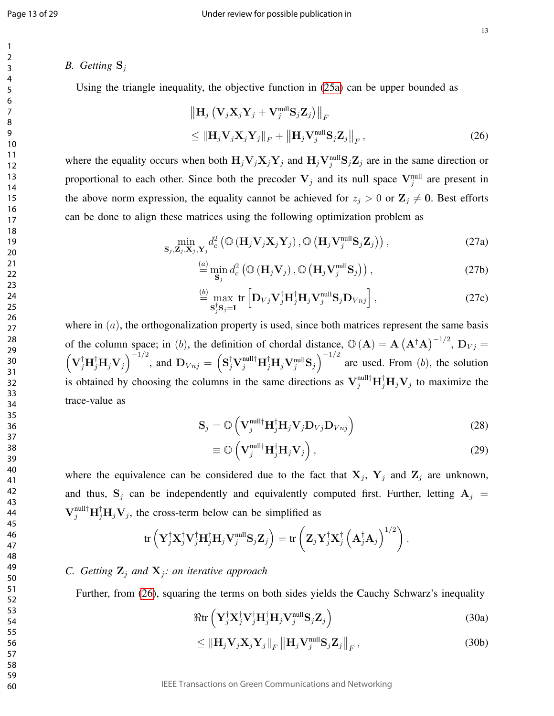#### *B.* Getting  $S_i$

Using the triangle inequality, the objective function in (25a) can be upper bounded as

$$
\|\mathbf{H}_{j} \left(\mathbf{V}_{j} \mathbf{X}_{j} \mathbf{Y}_{j} + \mathbf{V}_{j}^{\text{null}} \mathbf{S}_{j} \mathbf{Z}_{j}\right)\|_{F} \leq \|\mathbf{H}_{j} \mathbf{V}_{j} \mathbf{X}_{j} \mathbf{Y}_{j}\|_{F} + \left\|\mathbf{H}_{j} \mathbf{V}_{j}^{\text{null}} \mathbf{S}_{j} \mathbf{Z}_{j}\right\|_{F},
$$
\n(26)

where the equality occurs when both  $H_jV_jX_jY_j$  and  $H_jV_j^{\text{null}}S_jZ_j$  are in the same direction or proportional to each other. Since both the precoder  $V_j$  and its null space  $V_j^{\text{null}}$  are present in the above norm expression, the equality cannot be achieved for  $z_j > 0$  or  $\mathbb{Z}_j \neq 0$ . Best efforts can be done to align these matrices using the following optimization problem as

$$
\min_{\mathbf{S}_{j},\mathbf{Z}_{j},\mathbf{X}_{j},\mathbf{Y}_{j}} d_{c}^{2} \left( \mathbb{O} \left( \mathbf{H}_{j} \mathbf{V}_{j} \mathbf{X}_{j} \mathbf{Y}_{j} \right), \mathbb{O} \left( \mathbf{H}_{j} \mathbf{V}_{j}^{\text{null}} \mathbf{S}_{j} \mathbf{Z}_{j} \right) \right), \tag{27a}
$$

$$
\stackrel{(a)}{=} \min_{\mathbf{S}_j} d_c^2 \left( \mathbb{O} \left( \mathbf{H}_j \mathbf{V}_j \right), \mathbb{O} \left( \mathbf{H}_j \mathbf{V}_j^{\text{null}} \mathbf{S}_j \right) \right), \tag{27b}
$$

$$
\stackrel{(b)}{=} \max_{\mathbf{S}_{j}^{\dagger} \mathbf{S}_{j} = \mathbf{I}} \text{tr} \left[ \mathbf{D}_{Vj} \mathbf{V}_{j}^{\dagger} \mathbf{H}_{j}^{\dagger} \mathbf{H}_{j} \mathbf{V}_{j}^{\text{null}} \mathbf{S}_{j} \mathbf{D}_{Vnj} \right], \tag{27c}
$$

where in  $(a)$ , the orthogonalization property is used, since both matrices represent the same basis of the column space; in (b), the definition of chordal distance,  $\mathbb{O}(A) = A(A^{\dagger}A)^{-1/2}$ ,  $D_{Vj} =$  $(\mathbf{V}_{j}^{\dagger} \mathbf{H}_{j}^{\dagger} \mathbf{V}_{j})^{-1/2}$ , and  $\mathbf{D}_{Vnj} = (\mathbf{S}_{j}^{\dagger} \mathbf{V}_{j}^{\text{null}\dagger} \mathbf{H}_{j}^{\dagger} \mathbf{H}_{j} \mathbf{V}_{j}^{\text{null}\mathbf{S}})^{-1/2}$  are used. From (b), the solution is obtained by choosing the columns in the same directions as  $V_j^{\text{null}\dagger}H_j^{\dagger}H_jV_j$  to maximize the trace-value as

$$
\mathbf{S}_{j} = \mathbb{O}\left(\mathbf{V}_{j}^{\text{null}\dagger}\mathbf{H}_{j}^{\dagger}\mathbf{H}_{j}\mathbf{V}_{j}\mathbf{D}_{Vj}\mathbf{D}_{Vnj}\right)
$$
(28)

$$
\equiv \mathbb{O}\left(\mathbf{V}_{j}^{\text{null}\dagger}\mathbf{H}_{j}^{\dagger}\mathbf{H}_{j}\mathbf{V}_{j}\right),\tag{29}
$$

where the equivalence can be considered due to the fact that  $X_j$ ,  $Y_j$  and  $Z_j$  are unknown, and thus,  $S_j$  can be independently and equivalently computed first. Further, letting  $A_j$  =  $V_j^{\text{null}\dagger} H_j^{\dagger} H_j V_j$ , the cross-term below can be simplified as

$$
\operatorname{tr}\left(\mathbf{Y}_{j}^{\dagger}\mathbf{X}_{j}^{\dagger}\mathbf{V}_{j}^{\dagger}\mathbf{H}_{j}^{\dagger}\mathbf{H}_{j}\mathbf{V}_{j}^{\text{null}}\mathbf{S}_{j}\mathbf{Z}_{j}\right) = \operatorname{tr}\left(\mathbf{Z}_{j}\mathbf{Y}_{j}^{\dagger}\mathbf{X}_{j}^{\dagger}\left(\mathbf{A}_{j}^{\dagger}\mathbf{A}_{j}\right)^{1/2}\right).
$$

#### *C. Getting*  $\mathbf{Z}_j$  *and*  $\mathbf{X}_j$ *: an iterative approach*

Further, from (26), squaring the terms on both sides yields the Cauchy Schwarz's inequality

$$
\Re \operatorname{tr} \left( \mathbf{Y}_{j}^{\dagger} \mathbf{X}_{j}^{\dagger} \mathbf{V}_{j}^{\dagger} \mathbf{H}_{j}^{\dagger} \mathbf{H}_{j} \mathbf{V}_{j}^{\text{null}} \mathbf{S}_{j} \mathbf{Z}_{j} \right) \tag{30a}
$$

$$
\leq \left\| \mathbf{H}_{j} \mathbf{V}_{j} \mathbf{X}_{j} \mathbf{Y}_{j} \right\|_{F} \left\| \mathbf{H}_{j} \mathbf{V}_{j}^{\text{null}} \mathbf{S}_{j} \mathbf{Z}_{j} \right\|_{F},\tag{30b}
$$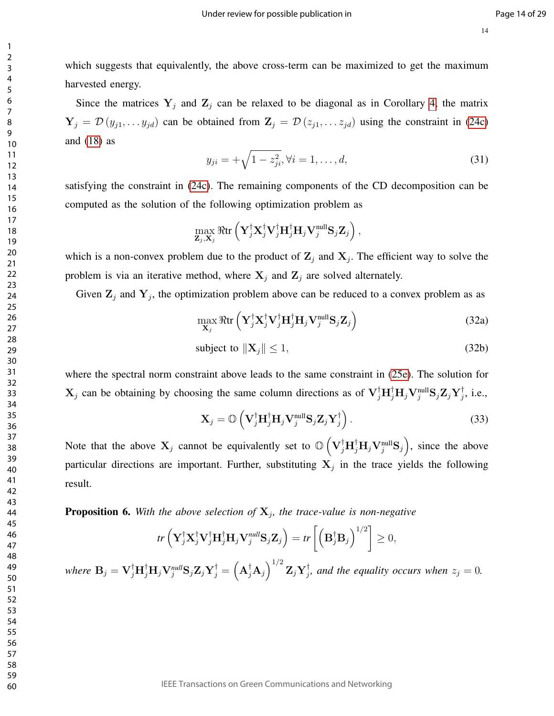which suggests that equivalently, the above cross-term can be maximized to get the maximum harvested energy.

Since the matrices  $Y_j$  and  $Z_j$  can be relaxed to be diagonal as in Corollary 4, the matrix  $Y_j = \mathcal{D}(y_{j1}, \ldots y_{jd})$  can be obtained from  $\mathbf{Z}_j = \mathcal{D}(z_{j1}, \ldots z_{jd})$  using the constraint in (24c) and  $(18)$  as

$$
y_{ji} = +\sqrt{1 - z_{ji}^2}, \forall i = 1, \dots, d,
$$
\n(31)

satisfying the constraint in (24c). The remaining components of the CD decomposition can be computed as the solution of the following optimization problem as

$$
\max_{\mathbf{Z}_j,\mathbf{X}_j} \Re\mathrm{tr}\left(\mathbf{Y}_j^{\dagger} \mathbf{X}_j^{\dagger} \mathbf{V}_j^{\dagger} \mathbf{H}_j^{\dagger} \mathbf{H}_j \mathbf{V}_j^{\text{null}} \mathbf{S}_j \mathbf{Z}_j\right),
$$

which is a non-convex problem due to the product of  $\mathbb{Z}_j$  and  $\mathbb{X}_j$ . The efficient way to solve the problem is via an iterative method, where  $X_j$  and  $Z_j$  are solved alternately.

Given  $\mathbf{Z}_j$  and  $\mathbf{Y}_j$ , the optimization problem above can be reduced to a convex problem as as

$$
\max_{\mathbf{X}_{j}} \Re \text{tr}\left(\mathbf{Y}_{j}^{\dagger} \mathbf{X}_{j}^{\dagger} \mathbf{V}_{j}^{\dagger} \mathbf{H}_{j}^{\dagger} \mathbf{H}_{j} \mathbf{V}_{j}^{\text{null}} \mathbf{S}_{j} \mathbf{Z}_{j}\right) \tag{32a}
$$

$$
subject to  $\|\mathbf{X}_{j}\| \leq 1,$  (32b)
$$

where the spectral norm constraint above leads to the same constraint in (25e). The solution for  $X_j$  can be obtaining by choosing the same column directions as of  $V_j^{\dagger}H_j^{\dagger}H_jV_j^{\text{null}}S_jZ_jY_j^{\dagger}$  $j$ , i.e.,

$$
\mathbf{X}_{j} = \mathbb{O}\left(\mathbf{V}_{j}^{\dagger}\mathbf{H}_{j}^{\dagger}\mathbf{H}_{j}\mathbf{V}_{j}^{\text{null}}\mathbf{S}_{j}\mathbf{Z}_{j}\mathbf{Y}_{j}^{\dagger}\right).
$$
 (33)

Note that the above  $X_j$  cannot be equivalently set to  $\mathbb{O}\left(V_j^{\dagger}H_j^{\dagger}H_jV_j^{\text{null}}S_j\right)$ , since the above particular directions are important. Further, substituting  $X_j$  in the trace yields the following result.

**Proposition 6.** With the above selection of  $X_j$ , the trace-value is non-negative

$$
tr\left(\mathbf{Y}_{j}^{\dagger}\mathbf{X}_{j}^{\dagger}\mathbf{V}_{j}^{\dagger}\mathbf{H}_{j}^{\dagger}\mathbf{H}_{j}\mathbf{V}_{j}^{null}\mathbf{S}_{j}\mathbf{Z}_{j}\right) = tr\left[\left(\mathbf{B}_{j}^{\dagger}\mathbf{B}_{j}\right)^{1/2}\right] \geq 0,
$$

where  $\mathbf{B}_j = \mathbf{V}_j^{\dagger} \mathbf{H}_j^{\dagger} \mathbf{H}_j \mathbf{V}_j^{null} \mathbf{S}_j \mathbf{Z}_j \mathbf{Y}_j^{\dagger} = \left( \mathbf{A}_j^{\dagger} \mathbf{A}_j \right)^{1/2} \mathbf{Z}_j \mathbf{Y}_j^{\dagger}$  $j_j^{\dagger}$ , and the equality occurs when  $z_j = 0$ .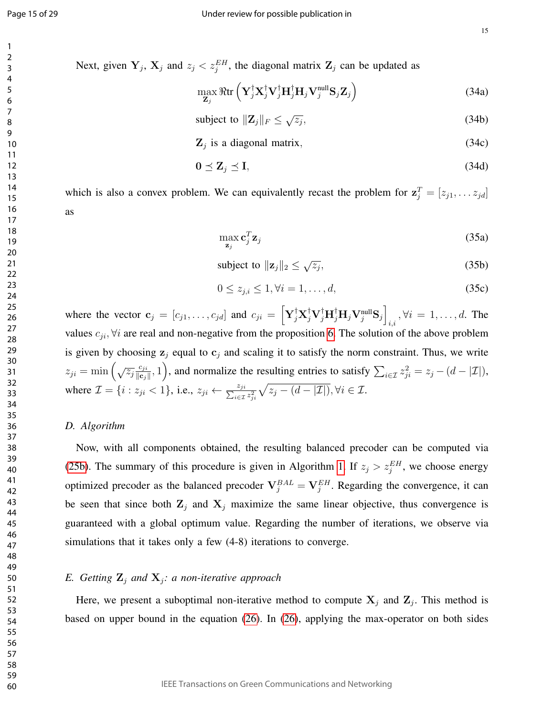15

Next, given  $Y_j$ ,  $X_j$  and  $z_j < z_j^{EH}$ , the diagonal matrix  $Z_j$  can be updated as

$$
\max_{\mathbf{Z}_{j}} \Re \text{tr}\left(\mathbf{Y}_{j}^{\dagger} \mathbf{X}_{j}^{\dagger} \mathbf{V}_{j}^{\dagger} \mathbf{H}_{j}^{\dagger} \mathbf{H}_{j} \mathbf{V}_{j}^{\text{null}} \mathbf{S}_{j} \mathbf{Z}_{j}\right)
$$
(34a)

subject to 
$$
\|\mathbf{Z}_j\|_F \leq \sqrt{z_j},\tag{34b}
$$

 $\mathbf{Z}_j$  is a diagonal matrix, (34c)

$$
0 \leq \mathbf{Z}_j \leq \mathbf{I},\tag{34d}
$$

which is also a convex problem. We can equivalently recast the problem for  $z_j^T = [z_{j1}, \dots z_{jd}]$ as

$$
\max_{\mathbf{z}_j} \mathbf{c}_j^T \mathbf{z}_j \tag{35a}
$$

subject to 
$$
\|\mathbf{z}_j\|_2 \leq \sqrt{z_j}
$$
, (35b)

$$
0 \le z_{j,i} \le 1, \forall i = 1, \dots, d,\tag{35c}
$$

where the vector  $\mathbf{c}_j = [c_{j1}, \dots, c_{jd}]$  and  $c_{ji} = \left[ \mathbf{Y}_j^{\dagger} \mathbf{X}_j^{\dagger} \mathbf{V}_j^{\dagger} \mathbf{H}_j^{\dagger} \mathbf{H}_j \mathbf{V}_j^{\text{null}} \mathbf{S}_j \right]$  $\psi_{i,i}$ ,  $\forall i = 1, \ldots, d$ . The values  $c_{ji}$ ,  $\forall i$  are real and non-negative from the proposition 6. The solution of the above problem is given by choosing  $z_i$  equal to  $c_i$  and scaling it to satisfy the norm constraint. Thus, we write  $z_{ji} = \min\left(\sqrt{z_j}\frac{c_{ji}}{\log i}\right)$  $\frac{c_{ji}}{\|\mathbf{c}_j\|}, 1$ , and normalize the resulting entries to satisfy  $\sum_{i \in \mathcal{I}} z_{ji}^2 = z_j - (d - |\mathcal{I}|),$ where  $\mathcal{I} = \{i : z_{ji} < 1\}$ , i.e.,  $z_{ji} \leftarrow \frac{z_{ji}}{\sum_{i \in \mathcal{I}} z_{ji}^2} \sqrt{z_j - (d - |\mathcal{I}|)}$ ,  $\forall i \in \mathcal{I}$ .

#### *D. Algorithm*

Now, with all components obtained, the resulting balanced precoder can be computed via (25b). The summary of this procedure is given in Algorithm 1. If  $z_j > z_j^{EH}$ , we choose energy optimized precoder as the balanced precoder  $V_j^{BAL} = V_j^{EH}$ . Regarding the convergence, it can be seen that since both  $\mathbf{Z}_j$  and  $\mathbf{X}_j$  maximize the same linear objective, thus convergence is guaranteed with a global optimum value. Regarding the number of iterations, we observe via simulations that it takes only a few (4-8) iterations to converge.

#### *E. Getting*  $\mathbf{Z}_j$  *and*  $\mathbf{X}_j$ *: a non-iterative approach*

Here, we present a suboptimal non-iterative method to compute  $X_j$  and  $Z_j$ . This method is based on upper bound in the equation (26). In (26), applying the max-operator on both sides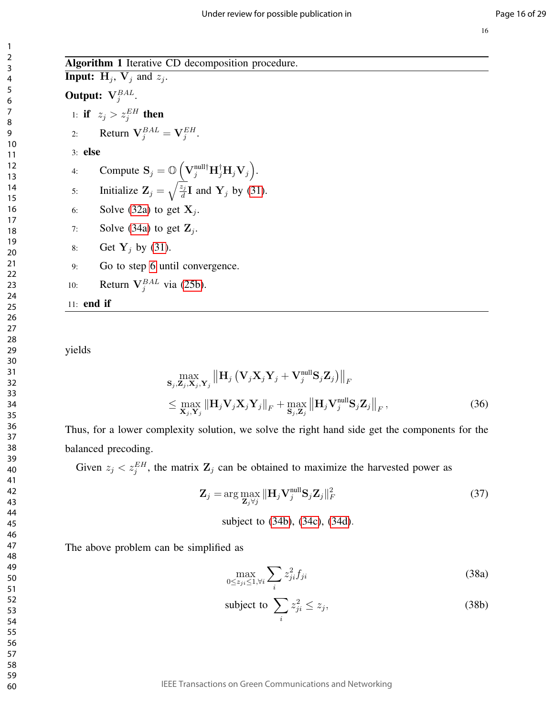60

Algorithm 1 Iterative CD decomposition procedure. **Input:**  $H_j$ ,  $V_j$  and  $z_j$ . Output:  $V_j^{BAL}$ . 1: if  $z_j > z_j^{EH}$  then 2: Return  $V_j^{BAL} = V_j^{EH}$ . 3: else 4: Compute  $\mathbf{S}_j = \mathbb{O}\left(\mathbf{V}_j^{\text{null}\dagger} \mathbf{H}_j^{\dagger} \mathbf{H}_j \mathbf{V}_j\right)$ . 5: Initialize  $\mathbf{Z}_j = \sqrt{\frac{z_j}{d}}$  $\frac{z_j}{d}$ **I** and **Y**<sub>j</sub> by (31). 6: Solve (32a) to get  $X_j$ . 7: Solve (34a) to get  $\mathbf{Z}_j$ . 8: Get  $Y_j$  by (31). 9: Go to step 6 until convergence. 10: Return  $V_j^{BAL}$  via (25b). 11: end if

yields

$$
\max_{\mathbf{S}_{j}, \mathbf{Z}_{j}, \mathbf{X}_{j}, \mathbf{Y}_{j}} \left\| \mathbf{H}_{j} \left( \mathbf{V}_{j} \mathbf{X}_{j} \mathbf{Y}_{j} + \mathbf{V}_{j}^{\text{null}} \mathbf{S}_{j} \mathbf{Z}_{j} \right) \right\|_{F} \n\leq \max_{\mathbf{X}_{j}, \mathbf{Y}_{j}} \left\| \mathbf{H}_{j} \mathbf{V}_{j} \mathbf{X}_{j} \mathbf{Y}_{j} \right\|_{F} + \max_{\mathbf{S}_{j}, \mathbf{Z}_{j}} \left\| \mathbf{H}_{j} \mathbf{V}_{j}^{\text{null}} \mathbf{S}_{j} \mathbf{Z}_{j} \right\|_{F},
$$
\n(36)

Thus, for a lower complexity solution, we solve the right hand side get the components for the balanced precoding.

Given  $z_j < z_j^{EH}$ , the matrix  $\mathbf{Z}_j$  can be obtained to maximize the harvested power as

$$
\mathbf{Z}_{j} = \arg \max_{\mathbf{Z}_{j} \forall j} \|\mathbf{H}_{j} \mathbf{V}_{j}^{\text{null}} \mathbf{S}_{j} \mathbf{Z}_{j} \|_{F}^{2}
$$
(37)

subject to (34b), (34c), (34d).

The above problem can be simplified as

$$
\max_{0 \le z_{ji} \le 1, \forall i} \sum_{i} z_{ji}^2 f_{ji}
$$
\n(38a)

subject to 
$$
\sum_{i} z_{ji}^2 \le z_j,
$$
 (38b)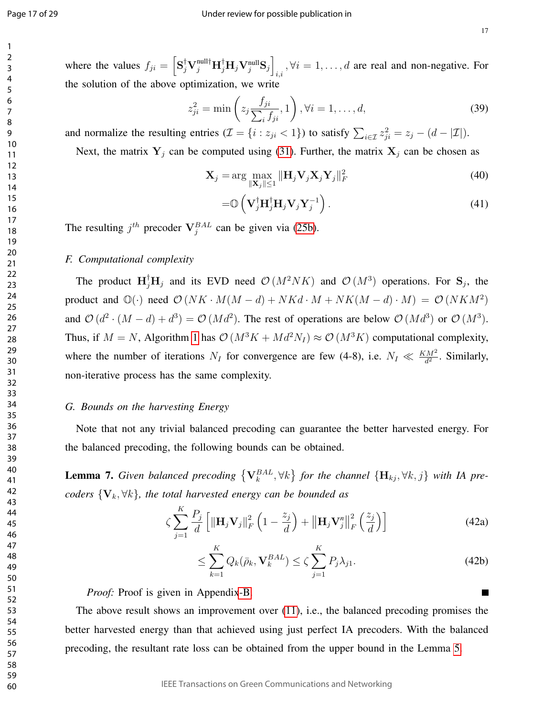17

where the values  $f_{ji} = \left[ S_j^{\dagger} V_j^{\text{null} \dagger} H_j^{\dagger} H_j V_j^{\text{null}} S_j \right]$  $i, i, j, \forall i = 1, \dots, d$  are real and non-negative. For the solution of the above optimization, we write

$$
z_{ji}^2 = \min\left(z_j \frac{f_{ji}}{\sum_i f_{ji}}, 1\right), \forall i = 1, \dots, d,
$$
\n(39)

and normalize the resulting entries  $(\mathcal{I} = \{i : z_{ji} < 1\})$  to satisfy  $\sum_{i \in \mathcal{I}} z_{ji}^2 = z_j - (d - |\mathcal{I}|)$ .

Next, the matrix  $Y_j$  can be computed using (31). Further, the matrix  $X_j$  can be chosen as

$$
\mathbf{X}_{j} = \arg \max_{\|\mathbf{X}_{j}\| \le 1} \|\mathbf{H}_{j} \mathbf{V}_{j} \mathbf{X}_{j} \mathbf{Y}_{j}\|_{F}^{2}
$$
(40)

$$
=\mathbb{O}\left(\mathbf{V}_{j}^{\dagger}\mathbf{H}_{j}^{\dagger}\mathbf{H}_{j}\mathbf{V}_{j}\mathbf{Y}_{j}^{-1}\right).
$$
\n(41)

The resulting  $j^{th}$  precoder  $V_j^{BAL}$  can be given via (25b).

#### *F. Computational complexity*

The product  $\mathbf{H}_{j}^{\dagger} \mathbf{H}_{j}$  and its EVD need  $\mathcal{O}(M^{2}NK)$  and  $\mathcal{O}(M^{3})$  operations. For  $\mathbf{S}_{j}$ , the product and  $\mathbb{O}(\cdot)$  need  $\mathcal{O}(NK \cdot M(M-d) + NK(d \cdot M + NK(M-d) \cdot M) = \mathcal{O}(NKM^2)$ and  $\mathcal{O}(d^2 \cdot (M-d) + d^3) = \mathcal{O}(Md^2)$ . The rest of operations are below  $\mathcal{O}(Md^3)$  or  $\mathcal{O}(M^3)$ . Thus, if  $M = N$ , Algorithm 1 has  $\mathcal{O}(M^3K + Md^2N_I) \approx \mathcal{O}(M^3K)$  computational complexity, where the number of iterations  $N_I$  for convergence are few (4-8), i.e.  $N_I \ll \frac{KM^2}{d^2}$ . Similarly, non-iterative process has the same complexity.

#### *G. Bounds on the harvesting Energy*

Note that not any trivial balanced precoding can guarantee the better harvested energy. For the balanced precoding, the following bounds can be obtained.

**Lemma 7.** Given balanced precoding  $\{V_k^{BAL}, \forall k\}$  for the channel  $\{H_{kj}, \forall k, j\}$  with IA pre*coders*  ${V_k, \forall k}$ *, the total harvested energy can be bounded as* 

$$
\zeta \sum_{j=1}^{K} \frac{P_j}{d} \left[ \|\mathbf{H}_j \mathbf{V}_j\|_F^2 \left(1 - \frac{z_j}{d}\right) + \|\mathbf{H}_j \mathbf{V}_j^n\|_F^2 \left(\frac{z_j}{d}\right) \right]
$$
(42a)

$$
\leq \sum_{k=1}^{K} Q_k(\bar{\rho}_k, \mathbf{V}_k^{BAL}) \leq \zeta \sum_{j=1}^{K} P_j \lambda_{j1}.
$$
\n(42b)

*Proof:* Proof is given in Appendix-B.

The above result shows an improvement over (11), i.e., the balanced precoding promises the better harvested energy than that achieved using just perfect IA precoders. With the balanced precoding, the resultant rate loss can be obtained from the upper bound in the Lemma 5.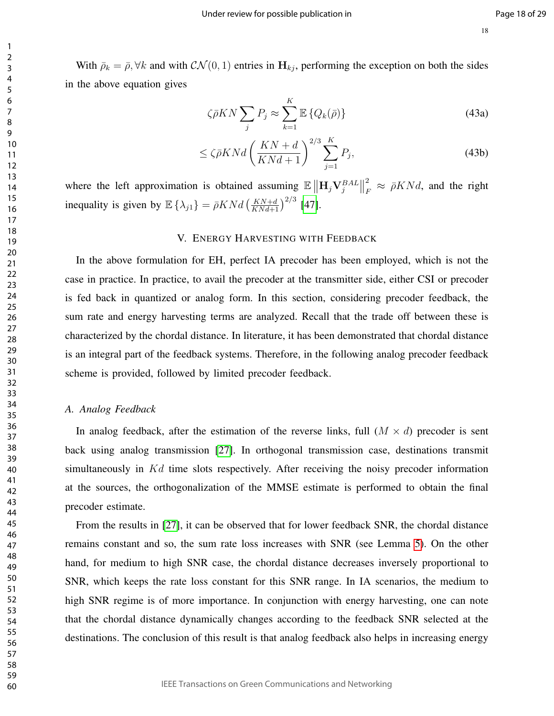With  $\bar{\rho}_k = \bar{\rho}, \forall k$  and with  $\mathcal{CN}(0, 1)$  entries in  $H_{kj}$ , performing the exception on both the sides in the above equation gives

$$
\zeta \bar{\rho} K N \sum_{j} P_j \approx \sum_{k=1}^{K} \mathbb{E} \left\{ Q_k(\bar{\rho}) \right\} \tag{43a}
$$

$$
\leq \zeta \bar{\rho} K N d \left(\frac{K N + d}{K N d + 1}\right)^{2/3} \sum_{j=1}^{K} P_j,\tag{43b}
$$

where the left approximation is obtained assuming  $\mathbb{E} \left\| \mathbf{H}_j \mathbf{V}_j^{BAL} \right\|$ 2  $\frac{2}{F} \approx \bar{\rho} K N d$ , and the right inequality is given by  $\mathbb{E} \left\{ \lambda_{j1} \right\} = \bar{\rho} K N d \left( \frac{KN+d}{KN+d+1} \right)^{2/3}$  [47].

#### V. ENERGY HARVESTING WITH FEEDBACK

In the above formulation for EH, perfect IA precoder has been employed, which is not the case in practice. In practice, to avail the precoder at the transmitter side, either CSI or precoder is fed back in quantized or analog form. In this section, considering precoder feedback, the sum rate and energy harvesting terms are analyzed. Recall that the trade off between these is characterized by the chordal distance. In literature, it has been demonstrated that chordal distance is an integral part of the feedback systems. Therefore, in the following analog precoder feedback scheme is provided, followed by limited precoder feedback.

#### *A. Analog Feedback*

In analog feedback, after the estimation of the reverse links, full  $(M \times d)$  precoder is sent back using analog transmission [27]. In orthogonal transmission case, destinations transmit simultaneously in Kd time slots respectively. After receiving the noisy precoder information at the sources, the orthogonalization of the MMSE estimate is performed to obtain the final precoder estimate.

From the results in [27], it can be observed that for lower feedback SNR, the chordal distance remains constant and so, the sum rate loss increases with SNR (see Lemma 5). On the other hand, for medium to high SNR case, the chordal distance decreases inversely proportional to SNR, which keeps the rate loss constant for this SNR range. In IA scenarios, the medium to high SNR regime is of more importance. In conjunction with energy harvesting, one can note that the chordal distance dynamically changes according to the feedback SNR selected at the destinations. The conclusion of this result is that analog feedback also helps in increasing energy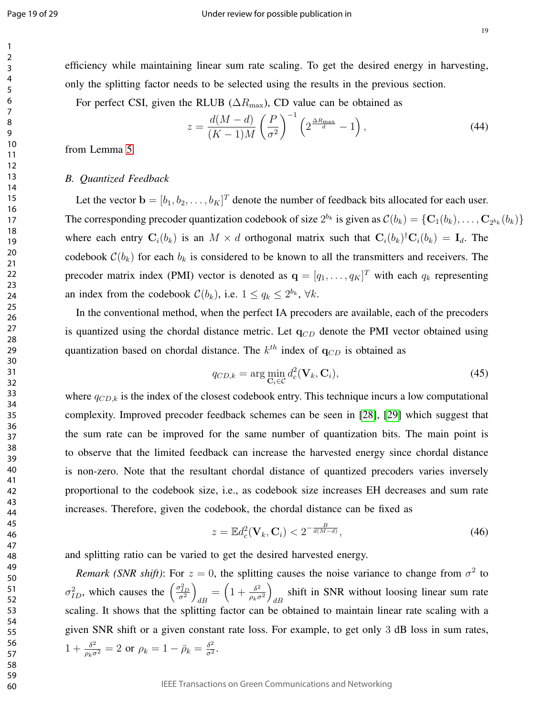efficiency while maintaining linear sum rate scaling. To get the desired energy in harvesting, only the splitting factor needs to be selected using the results in the previous section.

For perfect CSI, given the RLUB ( $\Delta R_{\text{max}}$ ), CD value can be obtained as

$$
z = \frac{d(M-d)}{(K-1)M} \left(\frac{P}{\sigma^2}\right)^{-1} \left(2^{\frac{\Delta R_{\text{max}}}{d}} - 1\right),\tag{44}
$$

from Lemma 5.

#### *B. Quantized Feedback*

Let the vector  $\mathbf{b} = [b_1, b_2, \dots, b_K]^T$  denote the number of feedback bits allocated for each user. The corresponding precoder quantization codebook of size  $2^{b_k}$  is given as  $C(b_k) = \{C_1(b_k), \ldots, C_{2^{b_k}}(b_k)\}\$ where each entry  $\mathbf{C}_i(b_k)$  is an  $M \times d$  orthogonal matrix such that  $\mathbf{C}_i(b_k)^{\dagger} \mathbf{C}_i(b_k) = \mathbf{I}_d$ . The codebook  $\mathcal{C}(b_k)$  for each  $b_k$  is considered to be known to all the transmitters and receivers. The precoder matrix index (PMI) vector is denoted as  $\mathbf{q} = [q_1, \dots, q_K]^T$  with each  $q_k$  representing an index from the codebook  $C(b_k)$ , i.e.  $1 \le q_k \le 2^{b_k}$ ,  $\forall k$ .

In the conventional method, when the perfect IA precoders are available, each of the precoders is quantized using the chordal distance metric. Let  $q_{CD}$  denote the PMI vector obtained using quantization based on chordal distance. The  $k^{th}$  index of  $q_{CD}$  is obtained as

$$
q_{CD,k} = \arg\min_{\mathbf{C}_i \in \mathcal{C}} d_c^2(\mathbf{V}_k, \mathbf{C}_i),
$$
\n(45)

where  $q_{CD,k}$  is the index of the closest codebook entry. This technique incurs a low computational complexity. Improved precoder feedback schemes can be seen in [28], [29] which suggest that the sum rate can be improved for the same number of quantization bits. The main point is to observe that the limited feedback can increase the harvested energy since chordal distance is non-zero. Note that the resultant chordal distance of quantized precoders varies inversely proportional to the codebook size, i.e., as codebook size increases EH decreases and sum rate increases. Therefore, given the codebook, the chordal distance can be fixed as

$$
z = \mathbb{E}d_c^2(\mathbf{V}_k, \mathbf{C}_i) < 2^{-\frac{B}{d(M-d)}},\tag{46}
$$

and splitting ratio can be varied to get the desired harvested energy.

*Remark (SNR shift)*: For  $z = 0$ , the splitting causes the noise variance to change from  $\sigma^2$  to  $\sigma_{ID}^2$ , which causes the  $\left(\frac{\sigma_{ID}^2}{\sigma^2}\right)$  $\frac{1}{dB} = \left(1 + \frac{\delta^2}{\rho_k \sigma}\right)$  $\rho_k \sigma^2$  $\setminus$ shift in SNR without loosing linear sum rate scaling. It shows that the splitting factor can be obtained to maintain linear rate scaling with a given SNR shift or a given constant rate loss. For example, to get only 3 dB loss in sum rates,  $1+\frac{\delta^2}{\rho_k\sigma^2}=2$  or  $\rho_k=1-\bar{\rho}_k=\frac{\delta^2}{\sigma^2}$  $\frac{\delta^2}{\sigma^2}$ .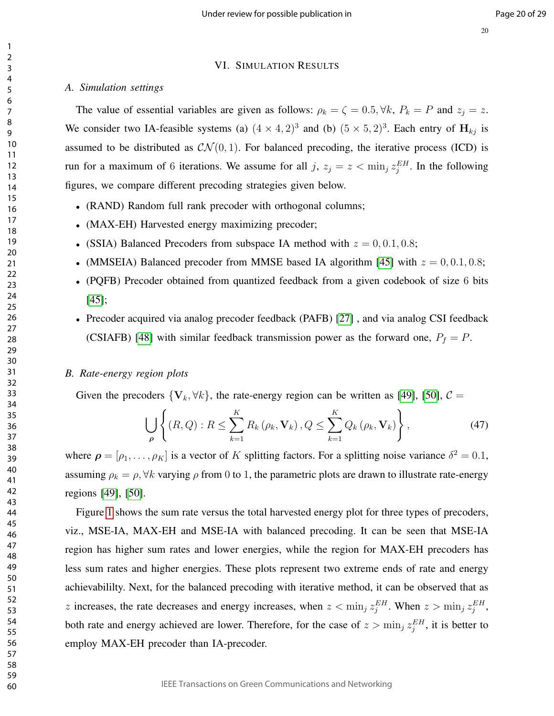#### VI. SIMULATION RESULTS

#### *A. Simulation settings*

The value of essential variables are given as follows:  $\rho_k = \zeta = 0.5, \forall k, P_k = P$  and  $z_j = z$ . We consider two IA-feasible systems (a)  $(4 \times 4, 2)^3$  and (b)  $(5 \times 5, 2)^3$ . Each entry of  $H_{kj}$  is assumed to be distributed as  $\mathcal{CN}(0, 1)$ . For balanced precoding, the iterative process (ICD) is run for a maximum of 6 iterations. We assume for all j,  $z_j = z < \min_j z_j^{EH}$ . In the following figures, we compare different precoding strategies given below.

- (RAND) Random full rank precoder with orthogonal columns;
- (MAX-EH) Harvested energy maximizing precoder;
- (SSIA) Balanced Precoders from subspace IA method with  $z = 0, 0.1, 0.8;$
- (MMSEIA) Balanced precoder from MMSE based IA algorithm [45] with  $z = 0, 0.1, 0.8;$
- (PQFB) Precoder obtained from quantized feedback from a given codebook of size 6 bits [45];
- Precoder acquired via analog precoder feedback (PAFB) [27], and via analog CSI feedback (CSIAFB) [48] with similar feedback transmission power as the forward one,  $P_f = P$ .

#### *B. Rate-energy region plots*

Given the precoders  ${V_k, \forall k}$ , the rate-energy region can be written as [49], [50],  $C =$ 

$$
\bigcup_{\rho} \left\{ (R, Q) : R \leq \sum_{k=1}^{K} R_k \left( \rho_k, \mathbf{V}_k \right), Q \leq \sum_{k=1}^{K} Q_k \left( \rho_k, \mathbf{V}_k \right) \right\},\tag{47}
$$

where  $\rho = [\rho_1, \dots, \rho_K]$  is a vector of K splitting factors. For a splitting noise variance  $\delta^2 = 0.1$ , assuming  $\rho_k = \rho$ ,  $\forall k$  varying  $\rho$  from 0 to 1, the parametric plots are drawn to illustrate rate-energy regions [49], [50].

Figure 1 shows the sum rate versus the total harvested energy plot for three types of precoders, viz., MSE-IA, MAX-EH and MSE-IA with balanced precoding. It can be seen that MSE-IA region has higher sum rates and lower energies, while the region for MAX-EH precoders has less sum rates and higher energies. These plots represent two extreme ends of rate and energy achievabililty. Next, for the balanced precoding with iterative method, it can be observed that as z increases, the rate decreases and energy increases, when  $z < \min_j z_j^{EH}$ . When  $z > \min_j z_j^{EH}$ , both rate and energy achieved are lower. Therefore, for the case of  $z > \min_j z_j^{EH}$ , it is better to employ MAX-EH precoder than IA-precoder.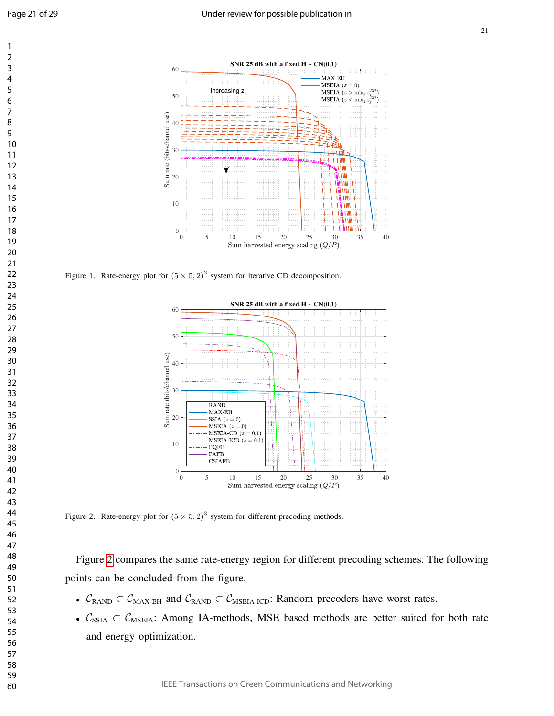



Figure 1. Rate-energy plot for  $(5 \times 5, 2)^3$  system for iterative CD decomposition.



Figure 2. Rate-energy plot for  $(5 \times 5, 2)^3$  system for different precoding methods.

Figure 2 compares the same rate-energy region for different precoding schemes. The following points can be concluded from the figure.

- $C_{RAND} \subset C_{MAX-EH}$  and  $C_{RAND} \subset C_{MSEIA-ICD}$ : Random precoders have worst rates.
- $C_{SSIA} \subset C_{MSEIA}$ : Among IA-methods, MSE based methods are better suited for both rate and energy optimization.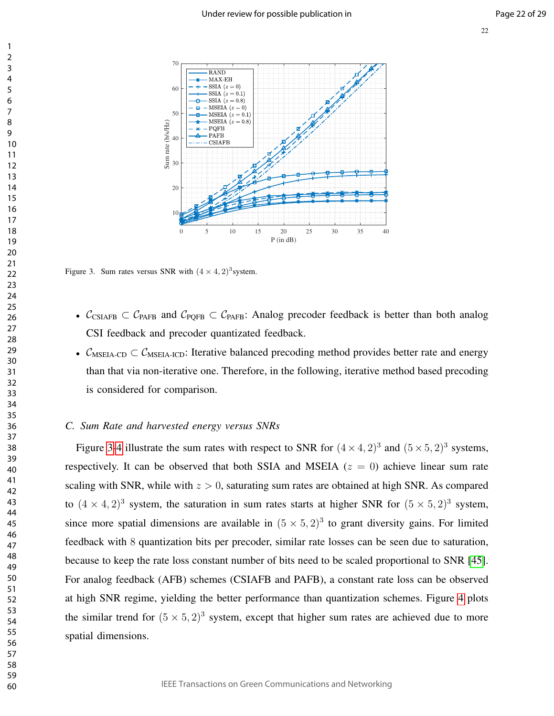

Figure 3. Sum rates versus SNR with  $(4 \times 4, 2)^3$  system.

- $\mathcal{C}_{CSIAFB} \subset \mathcal{C}_{PAFB}$  and  $\mathcal{C}_{POFB} \subset \mathcal{C}_{PAFB}$ : Analog precoder feedback is better than both analog CSI feedback and precoder quantizated feedback.
- $\mathcal{C}_{\text{MSEIA-CD}} \subset \mathcal{C}_{\text{MSEIA-ICD}}$ : Iterative balanced precoding method provides better rate and energy than that via non-iterative one. Therefore, in the following, iterative method based precoding is considered for comparison.

#### *C. Sum Rate and harvested energy versus SNRs*

Figure 3-4 illustrate the sum rates with respect to SNR for  $(4 \times 4, 2)^3$  and  $(5 \times 5, 2)^3$  systems, respectively. It can be observed that both SSIA and MSEIA  $(z = 0)$  achieve linear sum rate scaling with SNR, while with  $z > 0$ , saturating sum rates are obtained at high SNR. As compared to  $(4 \times 4, 2)^3$  system, the saturation in sum rates starts at higher SNR for  $(5 \times 5, 2)^3$  system, since more spatial dimensions are available in  $(5 \times 5, 2)^3$  to grant diversity gains. For limited feedback with 8 quantization bits per precoder, similar rate losses can be seen due to saturation, because to keep the rate loss constant number of bits need to be scaled proportional to SNR [45]. For analog feedback (AFB) schemes (CSIAFB and PAFB), a constant rate loss can be observed at high SNR regime, yielding the better performance than quantization schemes. Figure 4 plots the similar trend for  $(5 \times 5, 2)^3$  system, except that higher sum rates are achieved due to more spatial dimensions.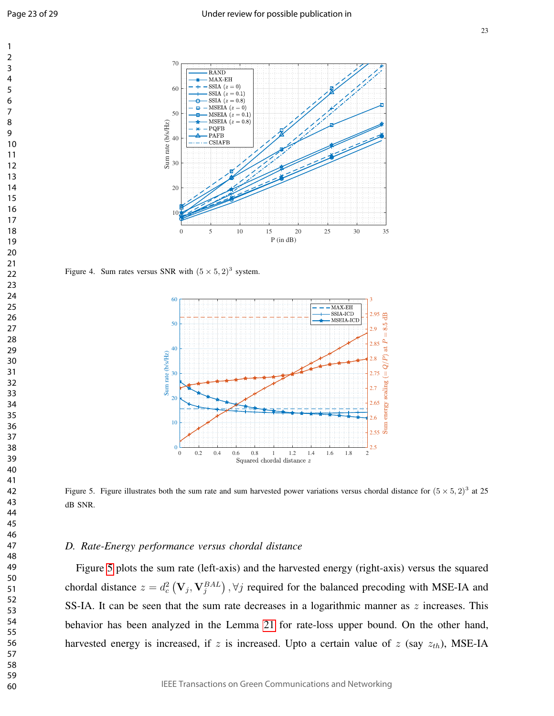



Figure 4. Sum rates versus SNR with  $(5 \times 5, 2)^3$  system.



Figure 5. Figure illustrates both the sum rate and sum harvested power variations versus chordal distance for  $(5 \times 5, 2)^3$  at 25 dB SNR.

#### *D. Rate-Energy performance versus chordal distance*

Figure 5 plots the sum rate (left-axis) and the harvested energy (right-axis) versus the squared chordal distance  $z = d_c^2 \left( V_j, V_j^{BAL} \right)$ ,  $\forall j$  required for the balanced precoding with MSE-IA and SS-IA. It can be seen that the sum rate decreases in a logarithmic manner as  $z$  increases. This behavior has been analyzed in the Lemma 21 for rate-loss upper bound. On the other hand, harvested energy is increased, if z is increased. Upto a certain value of z (say  $z_{th}$ ), MSE-IA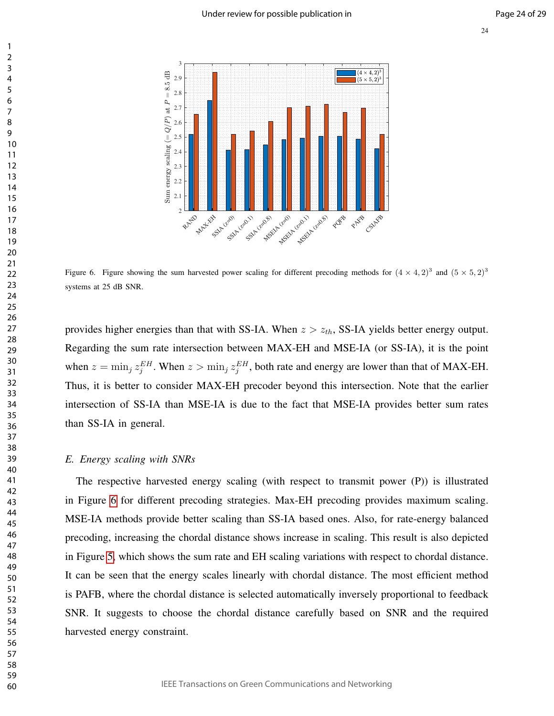

Figure 6. Figure showing the sum harvested power scaling for different precoding methods for  $(4 \times 4, 2)^3$  and  $(5 \times 5, 2)^3$ systems at 25 dB SNR.

provides higher energies than that with SS-IA. When  $z > z<sub>th</sub>$ , SS-IA yields better energy output. Regarding the sum rate intersection between MAX-EH and MSE-IA (or SS-IA), it is the point when  $z = \min_j z_j^{EH}$ . When  $z > \min_j z_j^{EH}$ , both rate and energy are lower than that of MAX-EH. Thus, it is better to consider MAX-EH precoder beyond this intersection. Note that the earlier intersection of SS-IA than MSE-IA is due to the fact that MSE-IA provides better sum rates than SS-IA in general.

#### *E. Energy scaling with SNRs*

The respective harvested energy scaling (with respect to transmit power (P)) is illustrated in Figure 6 for different precoding strategies. Max-EH precoding provides maximum scaling. MSE-IA methods provide better scaling than SS-IA based ones. Also, for rate-energy balanced precoding, increasing the chordal distance shows increase in scaling. This result is also depicted in Figure 5, which shows the sum rate and EH scaling variations with respect to chordal distance. It can be seen that the energy scales linearly with chordal distance. The most efficient method is PAFB, where the chordal distance is selected automatically inversely proportional to feedback SNR. It suggests to choose the chordal distance carefully based on SNR and the required harvested energy constraint.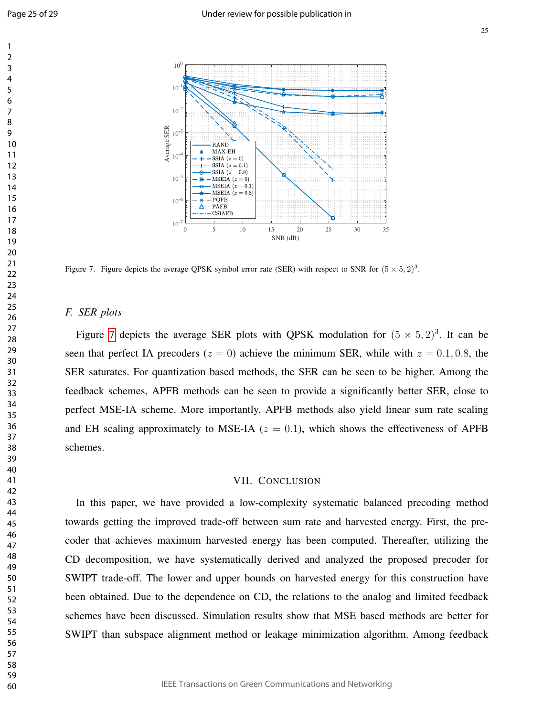

Figure 7. Figure depicts the average QPSK symbol error rate (SER) with respect to SNR for  $(5 \times 5, 2)^3$ .

#### *F. SER plots*

Figure 7 depicts the average SER plots with QPSK modulation for  $(5 \times 5, 2)^3$ . It can be seen that perfect IA precoders ( $z = 0$ ) achieve the minimum SER, while with  $z = 0.1, 0.8$ , the SER saturates. For quantization based methods, the SER can be seen to be higher. Among the feedback schemes, APFB methods can be seen to provide a significantly better SER, close to perfect MSE-IA scheme. More importantly, APFB methods also yield linear sum rate scaling and EH scaling approximately to MSE-IA  $(z = 0.1)$ , which shows the effectiveness of APFB schemes.

#### VII. CONCLUSION

In this paper, we have provided a low-complexity systematic balanced precoding method towards getting the improved trade-off between sum rate and harvested energy. First, the precoder that achieves maximum harvested energy has been computed. Thereafter, utilizing the CD decomposition, we have systematically derived and analyzed the proposed precoder for SWIPT trade-off. The lower and upper bounds on harvested energy for this construction have been obtained. Due to the dependence on CD, the relations to the analog and limited feedback schemes have been discussed. Simulation results show that MSE based methods are better for SWIPT than subspace alignment method or leakage minimization algorithm. Among feedback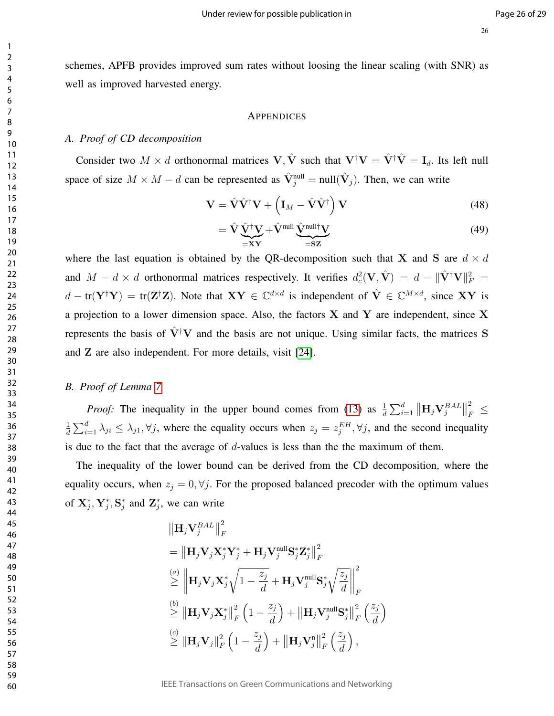schemes, APFB provides improved sum rates without loosing the linear scaling (with SNR) as well as improved harvested energy.

#### APPENDICES

#### *A. Proof of CD decomposition*

Consider two  $M \times d$  orthonormal matrices  $V, \hat{V}$  such that  $V^{\dagger}V = \hat{V}^{\dagger}\hat{V} = I_d$ . Its left null space of size  $M \times M - d$  can be represented as  $\hat{V}_j^{\text{null}} = \text{null}(\hat{V}_j)$ . Then, we can write

$$
\mathbf{V} = \hat{\mathbf{V}} \hat{\mathbf{V}}^{\dagger} \mathbf{V} + \left( \mathbf{I}_M - \hat{\mathbf{V}} \hat{\mathbf{V}}^{\dagger} \right) \mathbf{V}
$$
(48)

$$
= \hat{\mathbf{V}} \underbrace{\hat{\mathbf{V}}^{\dagger} \mathbf{V}}_{=\mathbf{X}\mathbf{Y}} + \hat{\mathbf{V}}^{\text{null}} \underbrace{\hat{\mathbf{V}}^{\text{null}\dagger} \mathbf{V}}_{=\mathbf{S}\mathbf{Z}}
$$
(49)

where the last equation is obtained by the QR-decomposition such that X and S are  $d \times d$ and  $M - d \times d$  orthonormal matrices respectively. It verifies  $d_c^2(\mathbf{V}, \hat{\mathbf{V}}) = d - ||\hat{\mathbf{V}}^\dagger \mathbf{V}||^2_F =$  $d - tr(Y^{\dagger}Y) = tr(Z^{\dagger}Z)$ . Note that  $XY \in \mathbb{C}^{d \times d}$  is independent of  $\hat{V} \in \mathbb{C}^{M \times d}$ , since XY is a projection to a lower dimension space. Also, the factors  $X$  and  $Y$  are independent, since X represents the basis of  $\hat{V}^{\dagger}V$  and the basis are not unique. Using similar facts, the matrices S and Z are also independent. For more details, visit [24].

#### *B. Proof of Lemma 7*

*Proof:* The inequality in the upper bound comes from (13) as  $\frac{1}{d} \sum_{i=1}^{d} ||\mathbf{H}_j \mathbf{V}_j^{BAL}||$ 2  $E_F^2 \leq$ 1  $\frac{1}{d} \sum_{i=1}^d \lambda_{ji} \leq \lambda_{j1}$ ,  $\forall j$ , where the equality occurs when  $z_j = z_j^{EH}$ ,  $\forall j$ , and the second inequality is due to the fact that the average of  $d$ -values is less than the the maximum of them.

The inequality of the lower bound can be derived from the CD decomposition, where the equality occurs, when  $z_j = 0, \forall j$ . For the proposed balanced precoder with the optimum values of  $X_j^*, Y_j^*, S_j^*$  and  $Z_j^*$ , we can write

$$
\|\mathbf{H}_{j}\mathbf{V}_{j}^{BAL}\|_{F}^{2}
$$
\n
$$
= \|\mathbf{H}_{j}\mathbf{V}_{j}\mathbf{X}_{j}^{*}\mathbf{Y}_{j}^{*} + \mathbf{H}_{j}\mathbf{V}_{j}^{\text{null}}\mathbf{S}_{j}^{*}\mathbf{Z}_{j}^{*}\|_{F}^{2}
$$
\n
$$
\overset{(a)}{\geq} \left\|\mathbf{H}_{j}\mathbf{V}_{j}\mathbf{X}_{j}^{*}\sqrt{1 - \frac{z_{j}}{d}} + \mathbf{H}_{j}\mathbf{V}_{j}^{\text{null}}\mathbf{S}_{j}^{*}\sqrt{\frac{z_{j}}{d}}\right\|_{F}^{2}
$$
\n
$$
\overset{(b)}{\geq} \|\mathbf{H}_{j}\mathbf{V}_{j}\mathbf{X}_{j}^{*}\|_{F}^{2}\left(1 - \frac{z_{j}}{d}\right) + \|\mathbf{H}_{j}\mathbf{V}_{j}^{\text{null}}\mathbf{S}_{j}^{*}\|_{F}^{2}\left(\frac{z_{j}}{d}\right)
$$
\n
$$
\overset{(c)}{\geq} \|\mathbf{H}_{j}\mathbf{V}_{j}\|_{F}^{2}\left(1 - \frac{z_{j}}{d}\right) + \|\mathbf{H}_{j}\mathbf{V}_{j}^{\text{null}}\|_{F}^{2}\left(\frac{z_{j}}{d}\right),
$$

IEEE Transactions on Green Communications and Networking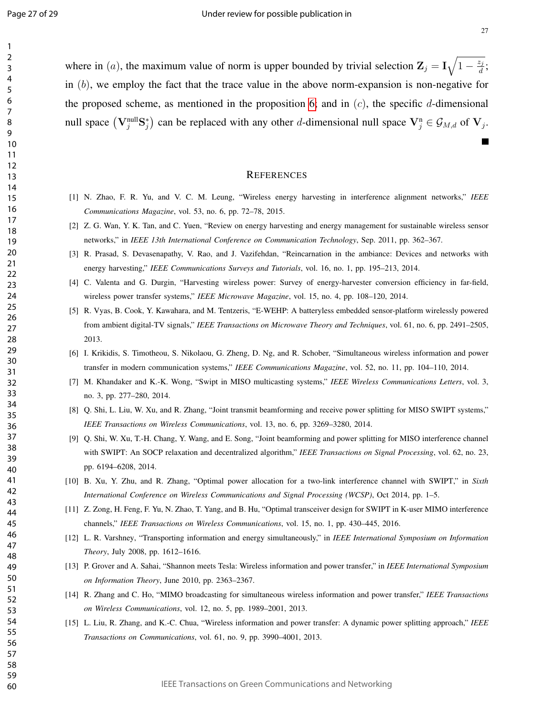27

where in (*a*), the maximum value of norm is upper bounded by trivial selection  $\mathbf{Z}_j = \mathbf{I}_j \sqrt{1 - \frac{z_j}{d}}$  $\frac{z_j}{d}$  ; in  $(b)$ , we employ the fact that the trace value in the above norm-expansion is non-negative for the proposed scheme, as mentioned in the proposition 6; and in  $(c)$ , the specific d-dimensional null space  $(\mathbf{V}_j^{\text{null}} \mathbf{S}_j^*)$  can be replaced with any other *d*-dimensional null space  $\mathbf{V}_j^{\text{n}} \in \mathcal{G}_{M,d}$  of  $\mathbf{V}_j$ .

#### **REFERENCES**

- [1] N. Zhao, F. R. Yu, and V. C. M. Leung, "Wireless energy harvesting in interference alignment networks," *IEEE Communications Magazine*, vol. 53, no. 6, pp. 72–78, 2015.
- [2] Z. G. Wan, Y. K. Tan, and C. Yuen, "Review on energy harvesting and energy management for sustainable wireless sensor networks," in *IEEE 13th International Conference on Communication Technology*, Sep. 2011, pp. 362–367.
- [3] R. Prasad, S. Devasenapathy, V. Rao, and J. Vazifehdan, "Reincarnation in the ambiance: Devices and networks with energy harvesting," *IEEE Communications Surveys and Tutorials*, vol. 16, no. 1, pp. 195–213, 2014.
- [4] C. Valenta and G. Durgin, "Harvesting wireless power: Survey of energy-harvester conversion efficiency in far-field, wireless power transfer systems," *IEEE Microwave Magazine*, vol. 15, no. 4, pp. 108–120, 2014.
- [5] R. Vyas, B. Cook, Y. Kawahara, and M. Tentzeris, "E-WEHP: A batteryless embedded sensor-platform wirelessly powered from ambient digital-TV signals," *IEEE Transactions on Microwave Theory and Techniques*, vol. 61, no. 6, pp. 2491–2505, 2013.
- [6] I. Krikidis, S. Timotheou, S. Nikolaou, G. Zheng, D. Ng, and R. Schober, "Simultaneous wireless information and power transfer in modern communication systems," *IEEE Communications Magazine*, vol. 52, no. 11, pp. 104–110, 2014.
- [7] M. Khandaker and K.-K. Wong, "Swipt in MISO multicasting systems," *IEEE Wireless Communications Letters*, vol. 3, no. 3, pp. 277–280, 2014.
- [8] Q. Shi, L. Liu, W. Xu, and R. Zhang, "Joint transmit beamforming and receive power splitting for MISO SWIPT systems," *IEEE Transactions on Wireless Communications*, vol. 13, no. 6, pp. 3269–3280, 2014.
- [9] Q. Shi, W. Xu, T.-H. Chang, Y. Wang, and E. Song, "Joint beamforming and power splitting for MISO interference channel with SWIPT: An SOCP relaxation and decentralized algorithm," *IEEE Transactions on Signal Processing*, vol. 62, no. 23, pp. 6194–6208, 2014.
- [10] B. Xu, Y. Zhu, and R. Zhang, "Optimal power allocation for a two-link interference channel with SWIPT," in *Sixth International Conference on Wireless Communications and Signal Processing (WCSP)*, Oct 2014, pp. 1–5.
- [11] Z. Zong, H. Feng, F. Yu, N. Zhao, T. Yang, and B. Hu, "Optimal transceiver design for SWIPT in K-user MIMO interference channels," *IEEE Transactions on Wireless Communications*, vol. 15, no. 1, pp. 430–445, 2016.
- [12] L. R. Varshney, "Transporting information and energy simultaneously," in *IEEE International Symposium on Information Theory*, July 2008, pp. 1612–1616.
- [13] P. Grover and A. Sahai, "Shannon meets Tesla: Wireless information and power transfer," in *IEEE International Symposium on Information Theory*, June 2010, pp. 2363–2367.
- [14] R. Zhang and C. Ho, "MIMO broadcasting for simultaneous wireless information and power transfer," *IEEE Transactions on Wireless Communications*, vol. 12, no. 5, pp. 1989–2001, 2013.
- [15] L. Liu, R. Zhang, and K.-C. Chua, "Wireless information and power transfer: A dynamic power splitting approach," *IEEE Transactions on Communications*, vol. 61, no. 9, pp. 3990–4001, 2013.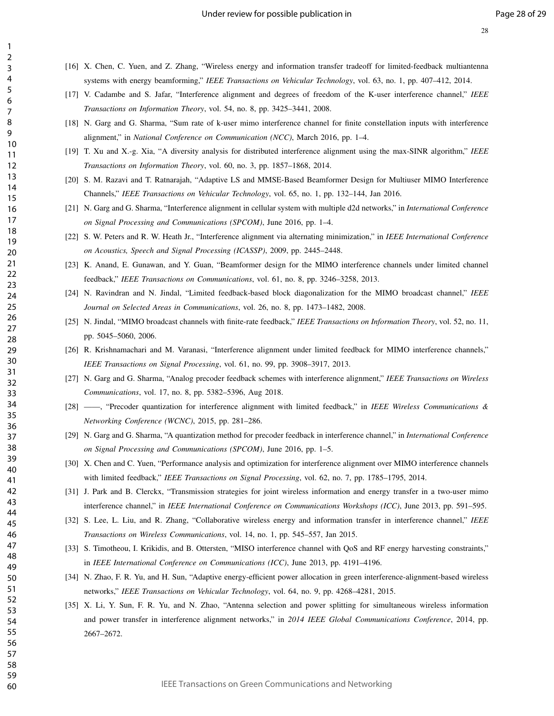[16] X. Chen, C. Yuen, and Z. Zhang, "Wireless energy and information transfer tradeoff for limited-feedback multiantenna systems with energy beamforming," *IEEE Transactions on Vehicular Technology*, vol. 63, no. 1, pp. 407–412, 2014.

- [17] V. Cadambe and S. Jafar, "Interference alignment and degrees of freedom of the K-user interference channel," *IEEE Transactions on Information Theory*, vol. 54, no. 8, pp. 3425–3441, 2008.
- [18] N. Garg and G. Sharma, "Sum rate of k-user mimo interference channel for finite constellation inputs with interference alignment," in *National Conference on Communication (NCC)*, March 2016, pp. 1–4.
- [19] T. Xu and X.-g. Xia, "A diversity analysis for distributed interference alignment using the max-SINR algorithm," *IEEE Transactions on Information Theory*, vol. 60, no. 3, pp. 1857–1868, 2014.
- [20] S. M. Razavi and T. Ratnarajah, "Adaptive LS and MMSE-Based Beamformer Design for Multiuser MIMO Interference Channels," *IEEE Transactions on Vehicular Technology*, vol. 65, no. 1, pp. 132–144, Jan 2016.
- [21] N. Garg and G. Sharma, "Interference alignment in cellular system with multiple d2d networks," in *International Conference on Signal Processing and Communications (SPCOM)*, June 2016, pp. 1–4.
- [22] S. W. Peters and R. W. Heath Jr., "Interference alignment via alternating minimization," in *IEEE International Conference on Acoustics, Speech and Signal Processing (ICASSP)*, 2009, pp. 2445–2448.
- [23] K. Anand, E. Gunawan, and Y. Guan, "Beamformer design for the MIMO interference channels under limited channel feedback," *IEEE Transactions on Communications*, vol. 61, no. 8, pp. 3246–3258, 2013.
- [24] N. Ravindran and N. Jindal, "Limited feedback-based block diagonalization for the MIMO broadcast channel," *IEEE Journal on Selected Areas in Communications*, vol. 26, no. 8, pp. 1473–1482, 2008.
- [25] N. Jindal, "MIMO broadcast channels with finite-rate feedback," *IEEE Transactions on Information Theory*, vol. 52, no. 11, pp. 5045–5060, 2006.
- [26] R. Krishnamachari and M. Varanasi, "Interference alignment under limited feedback for MIMO interference channels," *IEEE Transactions on Signal Processing*, vol. 61, no. 99, pp. 3908–3917, 2013.
- [27] N. Garg and G. Sharma, "Analog precoder feedback schemes with interference alignment," *IEEE Transactions on Wireless Communications*, vol. 17, no. 8, pp. 5382–5396, Aug 2018.
- [28] ——, "Precoder quantization for interference alignment with limited feedback," in *IEEE Wireless Communications & Networking Conference (WCNC)*, 2015, pp. 281–286.
- [29] N. Garg and G. Sharma, "A quantization method for precoder feedback in interference channel," in *International Conference on Signal Processing and Communications (SPCOM)*, June 2016, pp. 1–5.
- [30] X. Chen and C. Yuen, "Performance analysis and optimization for interference alignment over MIMO interference channels with limited feedback," *IEEE Transactions on Signal Processing*, vol. 62, no. 7, pp. 1785–1795, 2014.
- [31] J. Park and B. Clerckx, "Transmission strategies for joint wireless information and energy transfer in a two-user mimo interference channel," in *IEEE International Conference on Communications Workshops (ICC)*, June 2013, pp. 591–595.
- [32] S. Lee, L. Liu, and R. Zhang, "Collaborative wireless energy and information transfer in interference channel," *IEEE Transactions on Wireless Communications*, vol. 14, no. 1, pp. 545–557, Jan 2015.
- [33] S. Timotheou, I. Krikidis, and B. Ottersten, "MISO interference channel with QoS and RF energy harvesting constraints," in *IEEE International Conference on Communications (ICC)*, June 2013, pp. 4191–4196.
- [34] N. Zhao, F. R. Yu, and H. Sun, "Adaptive energy-efficient power allocation in green interference-alignment-based wireless networks," *IEEE Transactions on Vehicular Technology*, vol. 64, no. 9, pp. 4268–4281, 2015.
- [35] X. Li, Y. Sun, F. R. Yu, and N. Zhao, "Antenna selection and power splitting for simultaneous wireless information and power transfer in interference alignment networks," in *2014 IEEE Global Communications Conference*, 2014, pp. 2667–2672.